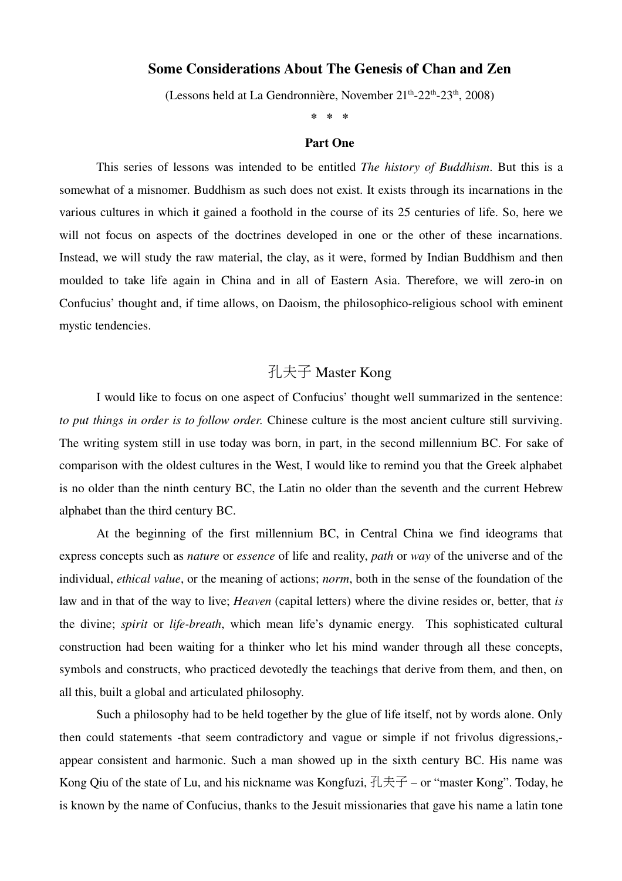## Some Considerations About The Genesis of Chan and Zen

(Lessons held at La Gendronnière, November 21<sup>th</sup>-22<sup>th</sup>-23<sup>th</sup>, 2008)

\* \* \*

### Part One

This series of lessons was intended to be entitled *The history of Buddhism*. But this is a somewhat of a misnomer. Buddhism as such does not exist. It exists through its incarnations in the various cultures in which it gained a foothold in the course of its 25 centuries of life. So, here we will not focus on aspects of the doctrines developed in one or the other of these incarnations. Instead, we will study the raw material, the clay, as it were, formed by Indian Buddhism and then moulded to take life again in China and in all of Eastern Asia. Therefore, we will zero-in on Confucius' thought and, if time allows, on Daoism, the philosophico-religious school with eminent mystic tendencies.

# 孔夫子 Master Kong

I would like to focus on one aspect of Confucius' thought well summarized in the sentence: *to put things in order is to follow order.* Chinese culture is the most ancient culture still surviving. The writing system still in use today was born, in part, in the second millennium BC. For sake of comparison with the oldest cultures in the West, I would like to remind you that the Greek alphabet is no older than the ninth century BC, the Latin no older than the seventh and the current Hebrew alphabet than the third century BC.

At the beginning of the first millennium BC, in Central China we find ideograms that express concepts such as *nature* or *essence* of life and reality, *path* or *way* of the universe and of the individual, *ethical value*, or the meaning of actions; *norm*, both in the sense of the foundation of the law and in that of the way to live; *Heaven* (capital letters) where the divine resides or, better, that *is* the divine; *spirit* or *lifebreath*, which mean life's dynamic energy. This sophisticated cultural construction had been waiting for a thinker who let his mind wander through all these concepts, symbols and constructs, who practiced devotedly the teachings that derive from them, and then, on all this, built a global and articulated philosophy.

Such a philosophy had to be held together by the glue of life itself, not by words alone. Only then could statements -that seem contradictory and vague or simple if not frivolus digressions,appear consistent and harmonic. Such a man showed up in the sixth century BC. His name was Kong Qiu of the state of Lu, and his nickname was Kongfuzi,  $\exists \pm \pm \pm -$  or "master Kong". Today, he is known by the name of Confucius, thanks to the Jesuit missionaries that gave his name a latin tone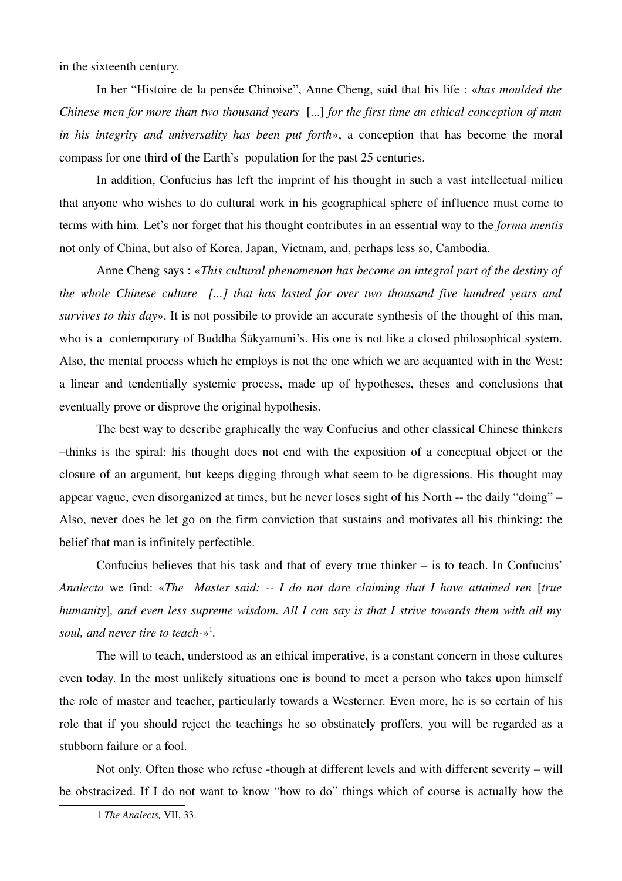in the sixteenth century.

In her "Histoire de la pensée Chinoise", Anne Cheng, said that his life : «*has moulded the Chinese men for more than two thousand years* [...] *for the first time an ethical conception of man in his integrity and universality has been put forth*», a conception that has become the moral compass for one third of the Earth's population for the past 25 centuries.

In addition, Confucius has left the imprint of his thought in such a vast intellectual milieu that anyone who wishes to do cultural work in his geographical sphere of influence must come to terms with him. Let's nor forget that his thought contributes in an essential way to the *forma mentis* not only of China, but also of Korea, Japan, Vietnam, and, perhaps less so, Cambodia.

Anne Cheng says : «*This cultural phenomenon has become an integral part of the destiny of the whole Chinese culture [...] that has lasted for over two thousand five hundred years and survives to this day*». It is not possibile to provide an accurate synthesis of the thought of this man, who is a contemporary of Buddha Śākyamuni's. His one is not like a closed philosophical system. Also, the mental process which he employs is not the one which we are acquanted with in the West: a linear and tendentially systemic process, made up of hypotheses, theses and conclusions that eventually prove or disprove the original hypothesis.

The best way to describe graphically the way Confucius and other classical Chinese thinkers –thinks is the spiral: his thought does not end with the exposition of a conceptual object or the closure of an argument, but keeps digging through what seem to be digressions. His thought may appear vague, even disorganized at times, but he never loses sight of his North -- the daily "doing" – Also, never does he let go on the firm conviction that sustains and motivates all his thinking: the belief that man is infinitely perfectible.

Confucius believes that his task and that of every true thinker – is to teach. In Confucius' *Analecta* we find: «*The Master said: I do not dare claiming that I have attained ren* [*true humanity*]*, and even less supreme wisdom. All I can say is that I strive towards them with all my* soul, and never tire to teach-»<sup>[1](#page-1-0)</sup>.

The will to teach, understood as an ethical imperative, is a constant concern in those cultures even today. In the most unlikely situations one is bound to meet a person who takes upon himself the role of master and teacher, particularly towards a Westerner. Even more, he is so certain of his role that if you should reject the teachings he so obstinately proffers, you will be regarded as a stubborn failure or a fool.

Not only. Often those who refuse -though at different levels and with different severity – will be obstracized. If I do not want to know "how to do" things which of course is actually how the

<span id="page-1-0"></span><sup>1</sup> *The Analects,* VII, 33.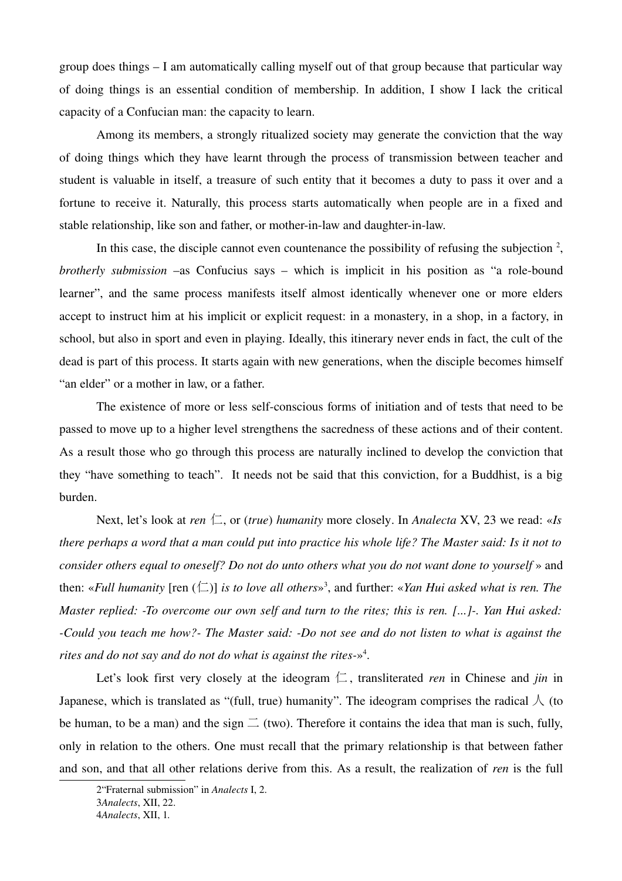group does things – I am automatically calling myself out of that group because that particular way of doing things is an essential condition of membership. In addition, I show I lack the critical capacity of a Confucian man: the capacity to learn.

Among its members, a strongly ritualized society may generate the conviction that the way of doing things which they have learnt through the process of transmission between teacher and student is valuable in itself, a treasure of such entity that it becomes a duty to pass it over and a fortune to receive it. Naturally, this process starts automatically when people are in a fixed and stable relationship, like son and father, or mother-in-law and daughter-in-law.

In this case, the disciple cannot even countenance the possibility of refusing the subjection  $2$ , *brotherly submission* –as Confucius says – which is implicit in his position as "a role-bound learner", and the same process manifests itself almost identically whenever one or more elders accept to instruct him at his implicit or explicit request: in a monastery, in a shop, in a factory, in school, but also in sport and even in playing. Ideally, this itinerary never ends in fact, the cult of the dead is part of this process. It starts again with new generations, when the disciple becomes himself "an elder" or a mother in law, or a father.

The existence of more or less self-conscious forms of initiation and of tests that need to be passed to move up to a higher level strengthens the sacredness of these actions and of their content. As a result those who go through this process are naturally inclined to develop the conviction that they "have something to teach". It needs not be said that this conviction, for a Buddhist, is a big burden.

Next, let's look at *ren*  $\Box$ , or (*true*) *humanity* more closely. In *Analecta* XV, 23 we read: «*Is there perhaps a word that a man could put into practice his whole life? The Master said: Is it not to consider others equal to oneself? Do not do unto others what you do not want done to yourself »* and then: «*Full humanity* [ren (仁)] *is to love all others*» [3](#page-2-1) , and further: «*Yan Hui asked what is ren. The Master replied: To overcome our own self and turn to the rites; this is ren. [...]. Yan Hui asked: Could you teach me how? The Master said: Do not see and do not listen to what is against the rites and do not say and do not do what is against the rites*» [4](#page-2-2) .

Let's look first very closely at the ideogram  $\Box$ , transliterated *ren* in Chinese and *jin* in Japanese, which is translated as "(full, true) humanity". The ideogram comprises the radical  $\Lambda$  (to be human, to be a man) and the sign  $\equiv$  (two). Therefore it contains the idea that man is such, fully, only in relation to the others. One must recall that the primary relationship is that between father and son, and that all other relations derive from this. As a result, the realization of *ren* is the full

<span id="page-2-0"></span><sup>2&</sup>quot;Fraternal submission" in *Analects* I, 2.

<span id="page-2-1"></span><sup>3</sup>*Analects*, XII, 22.

<span id="page-2-2"></span><sup>4</sup>*Analects*, XII, 1.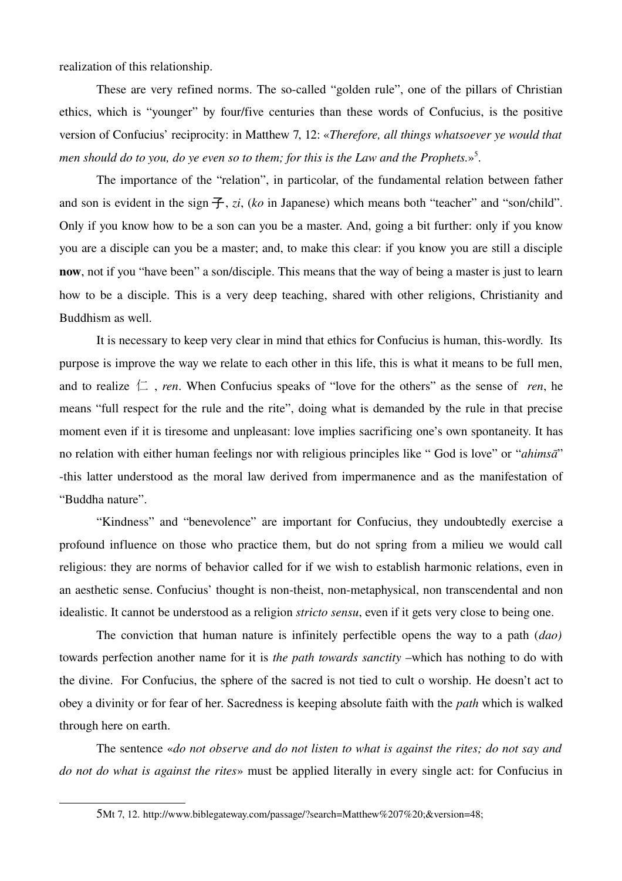realization of this relationship.

These are very refined norms. The so-called "golden rule", one of the pillars of Christian ethics, which is "younger" by four/five centuries than these words of Confucius, is the positive version of Confucius' reciprocity: in Matthew 7, 12: «*Therefore, all things whatsoever ye would that* men should do to you, do ye even so to them; for this is the Law and the Prophets.»<sup>[5](#page-3-0)</sup>.

The importance of the "relation", in particolar, of the fundamental relation between father and son is evident in the sign 子, *zi*, (*ko* in Japanese) which means both "teacher" and "son/child". Only if you know how to be a son can you be a master. And, going a bit further: only if you know you are a disciple can you be a master; and, to make this clear: if you know you are still a disciple now, not if you "have been" a son/disciple. This means that the way of being a master is just to learn how to be a disciple. This is a very deep teaching, shared with other religions, Christianity and Buddhism as well.

It is necessary to keep very clear in mind that ethics for Confucius is human, this-wordly. Its purpose is improve the way we relate to each other in this life, this is what it means to be full men, and to realize  $\Box$ , *ren*. When Confucius speaks of "love for the others" as the sense of *ren*, he means "full respect for the rule and the rite", doing what is demanded by the rule in that precise moment even if it is tiresome and unpleasant: love implies sacrificing one's own spontaneity. It has no relation with either human feelings nor with religious principles like " God is love" or "*ahimsā*" this latter understood as the moral law derived from impermanence and as the manifestation of "Buddha nature".

"Kindness" and "benevolence" are important for Confucius, they undoubtedly exercise a profound influence on those who practice them, but do not spring from a milieu we would call religious: they are norms of behavior called for if we wish to establish harmonic relations, even in an aesthetic sense. Confucius' thought is non-theist, non-metaphysical, non transcendental and non idealistic. It cannot be understood as a religion *stricto sensu*, even if it gets very close to being one.

The conviction that human nature is infinitely perfectible opens the way to a path (*dao)* towards perfection another name for it is *the path towards sanctity* –which has nothing to do with the divine. For Confucius, the sphere of the sacred is not tied to cult o worship. He doesn't act to obey a divinity or for fear of her. Sacredness is keeping absolute faith with the *path* which is walked through here on earth.

The sentence «*do not observe and do not listen to what is against the rites; do not say and do not do what is against the rites*» must be applied literally in every single act: for Confucius in

<span id="page-3-0"></span><sup>5</sup>Mt 7, 12. http://www.biblegateway.com/passage/?search=Matthew%207%20;&version=48;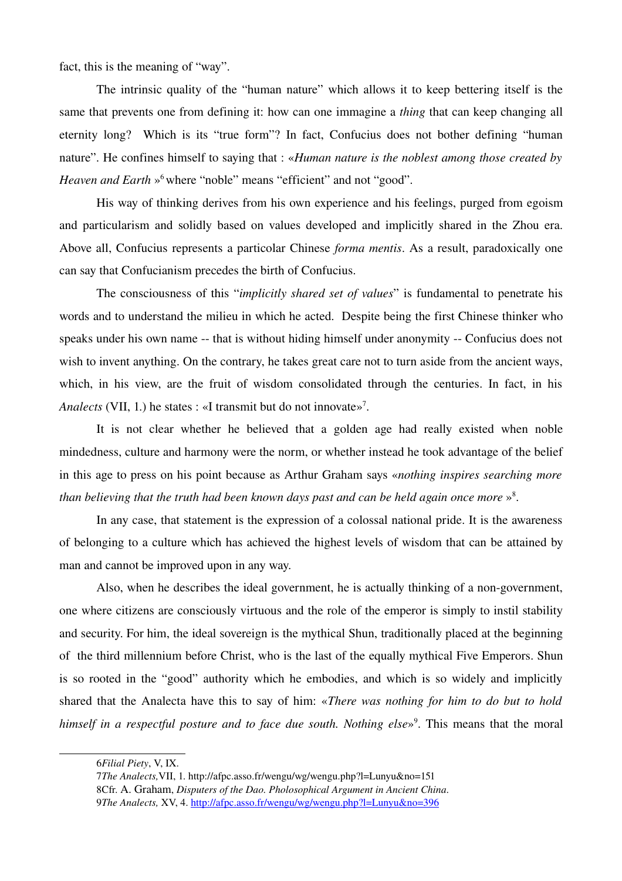fact, this is the meaning of "way".

The intrinsic quality of the "human nature" which allows it to keep bettering itself is the same that prevents one from defining it: how can one immagine a *thing* that can keep changing all eternity long? Which is its "true form"? In fact, Confucius does not bother defining "human nature". He confines himself to saying that : «*Human nature is the noblest among those created by Heaven and Earth* »<sup>[6](#page-4-0)</sup> where "noble" means "efficient" and not "good".

His way of thinking derives from his own experience and his feelings, purged from egoism and particularism and solidly based on values developed and implicitly shared in the Zhou era. Above all, Confucius represents a particolar Chinese *forma mentis*. As a result, paradoxically one can say that Confucianism precedes the birth of Confucius.

The consciousness of this "*implicitly shared set of values*" is fundamental to penetrate his words and to understand the milieu in which he acted. Despite being the first Chinese thinker who speaks under his own name -- that is without hiding himself under anonymity -- Confucius does not wish to invent anything. On the contrary, he takes great care not to turn aside from the ancient ways, which, in his view, are the fruit of wisdom consolidated through the centuries. In fact, in his Analects (VII, 1.) he states : «I transmit but do not innovate»<sup>[7](#page-4-1)</sup>.

It is not clear whether he believed that a golden age had really existed when noble mindedness, culture and harmony were the norm, or whether instead he took advantage of the belief in this age to press on his point because as Arthur Graham says «*nothing inspires searching more* than believing that the truth had been known days past and can be held again once more »<sup>[8](#page-4-2)</sup>.

In any case, that statement is the expression of a colossal national pride. It is the awareness of belonging to a culture which has achieved the highest levels of wisdom that can be attained by man and cannot be improved upon in any way.

Also, when he describes the ideal government, he is actually thinking of a non-government, one where citizens are consciously virtuous and the role of the emperor is simply to instil stability and security. For him, the ideal sovereign is the mythical Shun, traditionally placed at the beginning of the third millennium before Christ, who is the last of the equally mythical Five Emperors. Shun is so rooted in the "good" authority which he embodies, and which is so widely and implicitly shared that the Analecta have this to say of him: «*There was nothing for him to do but to hold* himself in a respectful posture and to face due south. Nothing else»<sup>[9](#page-4-3)</sup>. This means that the moral

<span id="page-4-0"></span><sup>6</sup>*Filial Piety*, V, IX.

<span id="page-4-1"></span><sup>7</sup>*The Analects,*VII, 1. http://afpc.asso.fr/wengu/wg/wengu.php?l=Lunyu&no=151

<span id="page-4-3"></span><span id="page-4-2"></span><sup>8</sup>Cfr. A. Graham, *Disputers of the Dao. Pholosophical Argument in Ancient China*. 9*The Analects,* XV, 4. <http://afpc.asso.fr/wengu/wg/wengu.php?l=Lunyu&no=396>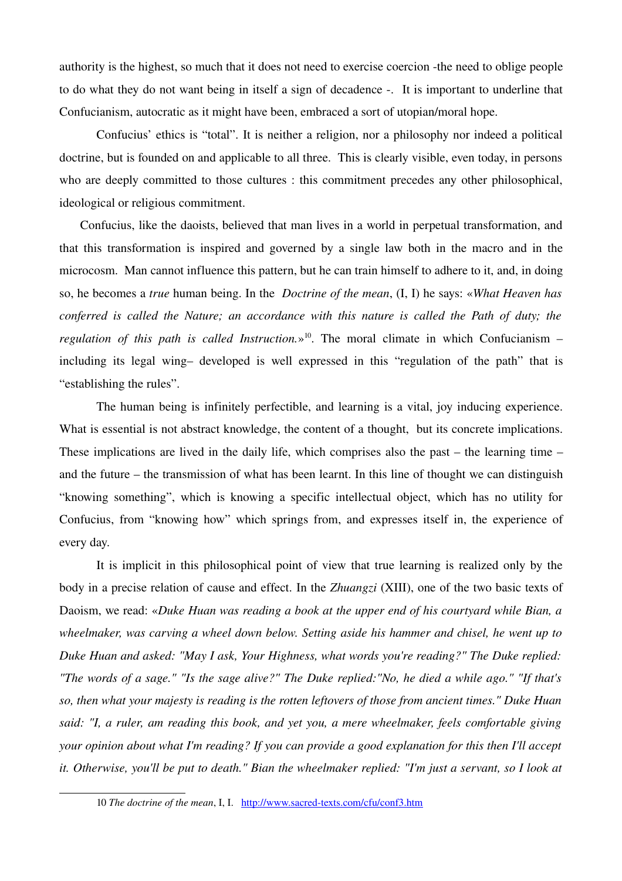authority is the highest, so much that it does not need to exercise coercion -the need to oblige people to do what they do not want being in itself a sign of decadence . It is important to underline that Confucianism, autocratic as it might have been, embraced a sort of utopian/moral hope.

Confucius' ethics is "total". It is neither a religion, nor a philosophy nor indeed a political doctrine, but is founded on and applicable to all three. This is clearly visible, even today, in persons who are deeply committed to those cultures : this commitment precedes any other philosophical, ideological or religious commitment.

Confucius, like the daoists, believed that man lives in a world in perpetual transformation, and that this transformation is inspired and governed by a single law both in the macro and in the microcosm. Man cannot influence this pattern, but he can train himself to adhere to it, and, in doing so, he becomes a *true* human being. In the *Doctrine of the mean*, (I, I) he says: «*What Heaven has conferred is called the Nature; an accordance with this nature is called the Path of duty; the* regulation of this path is called Instruction.»<sup>[10](#page-5-0)</sup>. The moral climate in which Confucianism – including its legal wing– developed is well expressed in this "regulation of the path" that is "establishing the rules".

The human being is infinitely perfectible, and learning is a vital, joy inducing experience. What is essential is not abstract knowledge, the content of a thought, but its concrete implications. These implications are lived in the daily life, which comprises also the past – the learning time – and the future – the transmission of what has been learnt. In this line of thought we can distinguish "knowing something", which is knowing a specific intellectual object, which has no utility for Confucius, from "knowing how" which springs from, and expresses itself in, the experience of every day.

It is implicit in this philosophical point of view that true learning is realized only by the body in a precise relation of cause and effect. In the *Zhuangzi* (XIII), one of the two basic texts of Daoism, we read: «*Duke Huan was reading a book at the upper end of his courtyard while Bian, a wheelmaker, was carving a wheel down below. Setting aside his hammer and chisel, he went up to Duke Huan and asked: "May I ask, Your Highness, what words you're reading?" The Duke replied: "The words of a sage." "Is the sage alive?" The Duke replied:"No, he died a while ago." "If that's so, then what your majesty is reading is the rotten leftovers of those from ancient times." Duke Huan said: "I, a ruler, am reading this book, and yet you, a mere wheelmaker, feels comfortable giving your opinion about what I'm reading? If you can provide a good explanation for this then I'll accept it. Otherwise, you'll be put to death." Bian the wheelmaker replied: "I'm just a servant, so I look at*

<span id="page-5-0"></span><sup>10</sup> *The doctrine of the mean*, I, I. http://www.sacred-texts.com/cfu/conf3.htm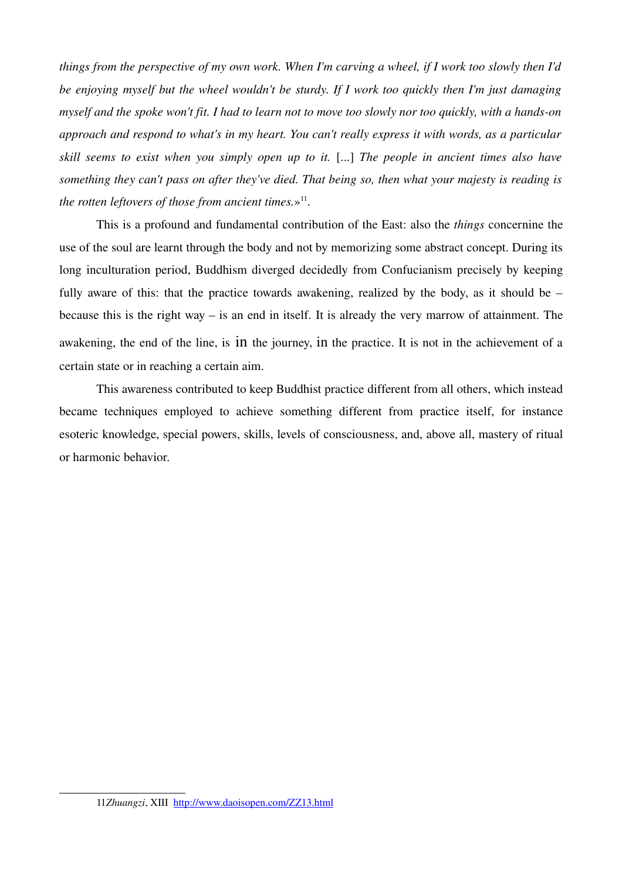*things from the perspective of my own work. When I'm carving a wheel, if I work too slowly then I'd be enjoying myself but the wheel wouldn't be sturdy. If I work too quickly then I'm just damaging myself and the spoke won't fit. I had to learn not to move too slowly nor too quickly, with a hands-on approach and respond to what's in my heart. You can't really express it with words, as a particular skill seems to exist when you simply open up to it.* [...] *The people in ancient times also have something they can't pass on after they've died. That being so, then what your majesty is reading is* the rotten leftovers of those from ancient times.»<sup>[11](#page-6-0)</sup>.

This is a profound and fundamental contribution of the East: also the *things* concernine the use of the soul are learnt through the body and not by memorizing some abstract concept. During its long inculturation period, Buddhism diverged decidedly from Confucianism precisely by keeping fully aware of this: that the practice towards awakening, realized by the body, as it should be – because this is the right way – is an end in itself. It is already the very marrow of attainment. The awakening, the end of the line, is in the journey, in the practice. It is not in the achievement of a certain state or in reaching a certain aim.

This awareness contributed to keep Buddhist practice different from all others, which instead became techniques employed to achieve something different from practice itself, for instance esoteric knowledge, special powers, skills, levels of consciousness, and, above all, mastery of ritual or harmonic behavior.

<span id="page-6-0"></span><sup>11</sup>*Zhuangzi*, XIII <http://www.daoisopen.com/ZZ13.html>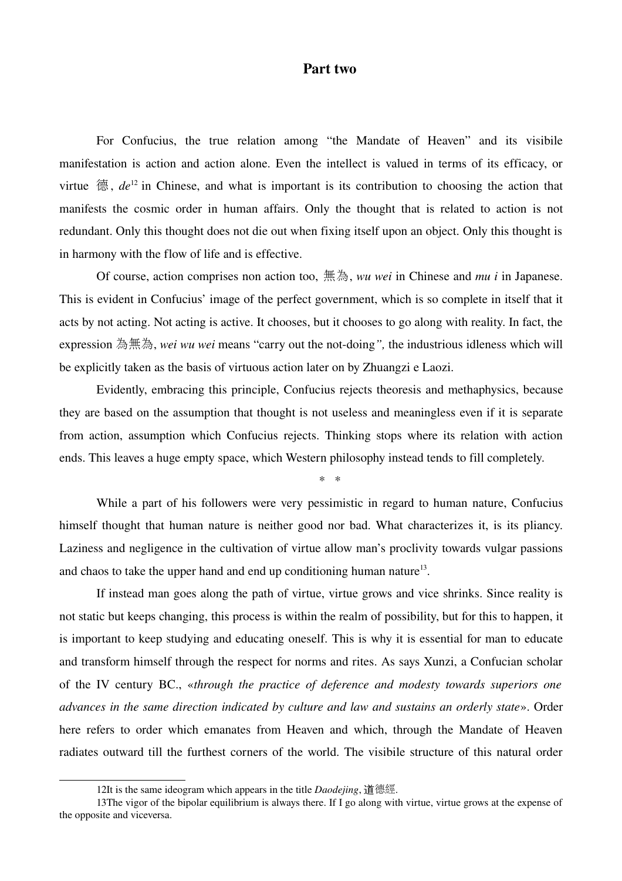## Part two

For Confucius, the true relation among "the Mandate of Heaven" and its visibile manifestation is action and action alone. Even the intellect is valued in terms of its efficacy, or virtue  $\ddot{\mathcal{E}}$ ,  $de^{12}$  $de^{12}$  $de^{12}$  in Chinese, and what is important is its contribution to choosing the action that manifests the cosmic order in human affairs. Only the thought that is related to action is not redundant. Only this thought does not die out when fixing itself upon an object. Only this thought is in harmony with the flow of life and is effective.

Of course, action comprises non action too, 無為, *wu wei* in Chinese and *mu i* in Japanese. This is evident in Confucius' image of the perfect government, which is so complete in itself that it acts by not acting. Not acting is active. It chooses, but it chooses to go along with reality. In fact, the expression 為無為, *wei wu wei* means "carry out the not-doing", the industrious idleness which will be explicitly taken as the basis of virtuous action later on by Zhuangzi e Laozi.

Evidently, embracing this principle, Confucius rejects theoresis and methaphysics, because they are based on the assumption that thought is not useless and meaningless even if it is separate from action, assumption which Confucius rejects. Thinking stops where its relation with action ends. This leaves a huge empty space, which Western philosophy instead tends to fill completely.

*\* \**

While a part of his followers were very pessimistic in regard to human nature, Confucius himself thought that human nature is neither good nor bad. What characterizes it, is its pliancy. Laziness and negligence in the cultivation of virtue allow man's proclivity towards vulgar passions and chaos to take the upper hand and end up conditioning human nature<sup>[13](#page-7-1)</sup>.

If instead man goes along the path of virtue, virtue grows and vice shrinks. Since reality is not static but keeps changing, this process is within the realm of possibility, but for this to happen, it is important to keep studying and educating oneself. This is why it is essential for man to educate and transform himself through the respect for norms and rites. As says Xunzi, a Confucian scholar of the IV century BC., «*through the practice of deference and modesty towards superiors one advances in the same direction indicated by culture and law and sustains an orderly state*». Order here refers to order which emanates from Heaven and which, through the Mandate of Heaven radiates outward till the furthest corners of the world. The visibile structure of this natural order

<span id="page-7-1"></span><span id="page-7-0"></span><sup>12</sup>It is the same ideogram which appears in the title *Daodejing*, 道德經.

<sup>13</sup>The vigor of the bipolar equilibrium is always there. If I go along with virtue, virtue grows at the expense of the opposite and viceversa.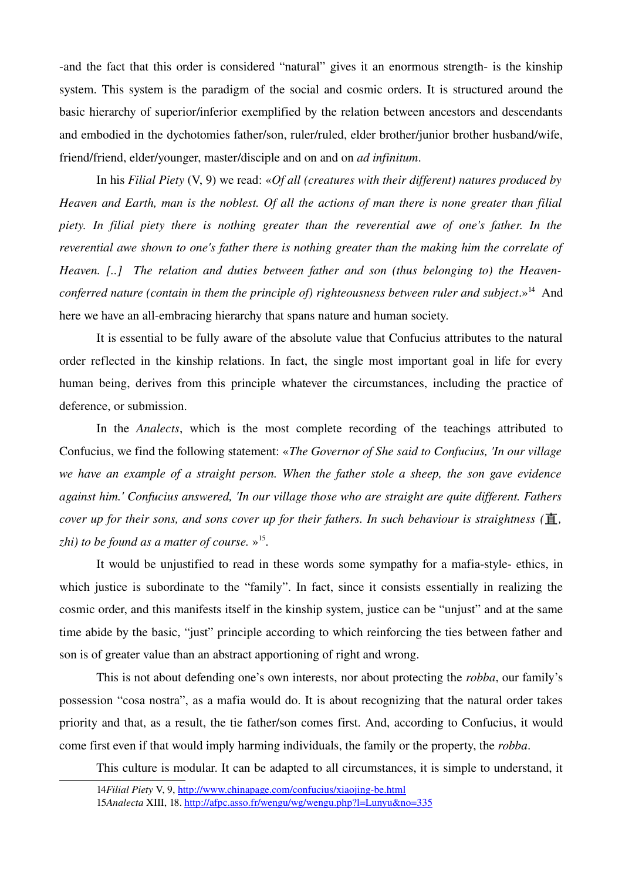-and the fact that this order is considered "natural" gives it an enormous strength- is the kinship system. This system is the paradigm of the social and cosmic orders. It is structured around the basic hierarchy of superior/inferior exemplified by the relation between ancestors and descendants and embodied in the dychotomies father/son, ruler/ruled, elder brother/junior brother husband/wife, friend/friend, elder/younger, master/disciple and on and on *ad infinitum*.

In his *Filial Piety* (V, 9) we read: «*Of all (creatures with their different) natures produced by Heaven and Earth, man is the noblest. Of all the actions of man there is none greater than filial piety. In filial piety there is nothing greater than the reverential awe of one's father. In the reverential awe shown to one's father there is nothing greater than the making him the correlate of Heaven. [..] The relation and duties between father and son (thus belonging to) the Heaven-*conferred nature (contain in them the principle of) righteousness between ruler and subject.»<sup>[14](#page-8-0)</sup> And here we have an all-embracing hierarchy that spans nature and human society.

It is essential to be fully aware of the absolute value that Confucius attributes to the natural order reflected in the kinship relations. In fact, the single most important goal in life for every human being, derives from this principle whatever the circumstances, including the practice of deference, or submission.

In the *Analects*, which is the most complete recording of the teachings attributed to Confucius, we find the following statement: «*The Governor of She said to Confucius, 'In our village we have an example of a straight person. When the father stole a sheep, the son gave evidence against him.' Confucius answered, 'In our village those who are straight are quite different. Fathers cover up for their sons, and sons cover up for their fathers. In such behaviour is straightness (*直*, zhi) to be found as a matter of course.* » [15](#page-8-1) .

It would be unjustified to read in these words some sympathy for a mafia-style-ethics, in which justice is subordinate to the "family". In fact, since it consists essentially in realizing the cosmic order, and this manifests itself in the kinship system, justice can be "unjust" and at the same time abide by the basic, "just" principle according to which reinforcing the ties between father and son is of greater value than an abstract apportioning of right and wrong.

This is not about defending one's own interests, nor about protecting the *robba*, our family's possession "cosa nostra", as a mafia would do. It is about recognizing that the natural order takes priority and that, as a result, the tie father/son comes first. And, according to Confucius, it would come first even if that would imply harming individuals, the family or the property, the *robba*.

This culture is modular. It can be adapted to all circumstances, it is simple to understand, it

<span id="page-8-1"></span><span id="page-8-0"></span><sup>14</sup>*Filial Piety* V, 9, http://www.chinapage.com/confucius/xiaojing-be.html 15*Analecta* XIII, 18. <http://afpc.asso.fr/wengu/wg/wengu.php?l=Lunyu&no=335>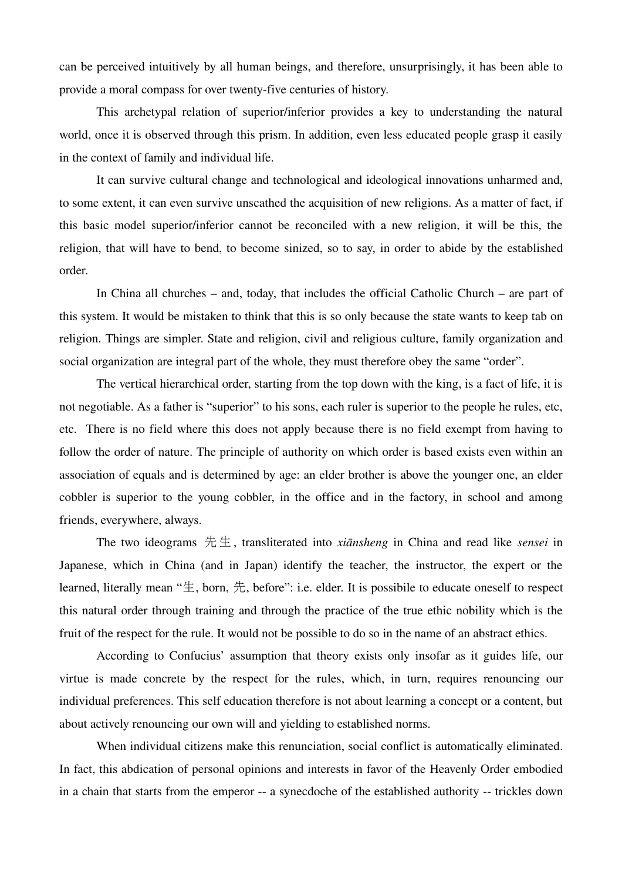can be perceived intuitively by all human beings, and therefore, unsurprisingly, it has been able to provide a moral compass for over twenty-five centuries of history.

This archetypal relation of superior/inferior provides a key to understanding the natural world, once it is observed through this prism. In addition, even less educated people grasp it easily in the context of family and individual life.

It can survive cultural change and technological and ideological innovations unharmed and, to some extent, it can even survive unscathed the acquisition of new religions. As a matter of fact, if this basic model superior/inferior cannot be reconciled with a new religion, it will be this, the religion, that will have to bend, to become sinized, so to say, in order to abide by the established order.

In China all churches – and, today, that includes the official Catholic Church – are part of this system. It would be mistaken to think that this is so only because the state wants to keep tab on religion. Things are simpler. State and religion, civil and religious culture, family organization and social organization are integral part of the whole, they must therefore obey the same "order".

The vertical hierarchical order, starting from the top down with the king, is a fact of life, it is not negotiable. As a father is "superior" to his sons, each ruler is superior to the people he rules, etc, etc. There is no field where this does not apply because there is no field exempt from having to follow the order of nature. The principle of authority on which order is based exists even within an association of equals and is determined by age: an elder brother is above the younger one, an elder cobbler is superior to the young cobbler, in the office and in the factory, in school and among friends, everywhere, always.

The two ideograms 先生 , transliterated into *xiānsheng* in China and read like *sensei* in Japanese, which in China (and in Japan) identify the teacher, the instructor, the expert or the learned, literally mean " $\pm$ , born,  $\pm$ , before": i.e. elder. It is possibile to educate oneself to respect this natural order through training and through the practice of the true ethic nobility which is the fruit of the respect for the rule. It would not be possible to do so in the name of an abstract ethics.

According to Confucius' assumption that theory exists only insofar as it guides life, our virtue is made concrete by the respect for the rules, which, in turn, requires renouncing our individual preferences. This self education therefore is not about learning a concept or a content, but about actively renouncing our own will and yielding to established norms.

When individual citizens make this renunciation, social conflict is automatically eliminated. In fact, this abdication of personal opinions and interests in favor of the Heavenly Order embodied in a chain that starts from the emperor -- a synecdoche of the established authority -- trickles down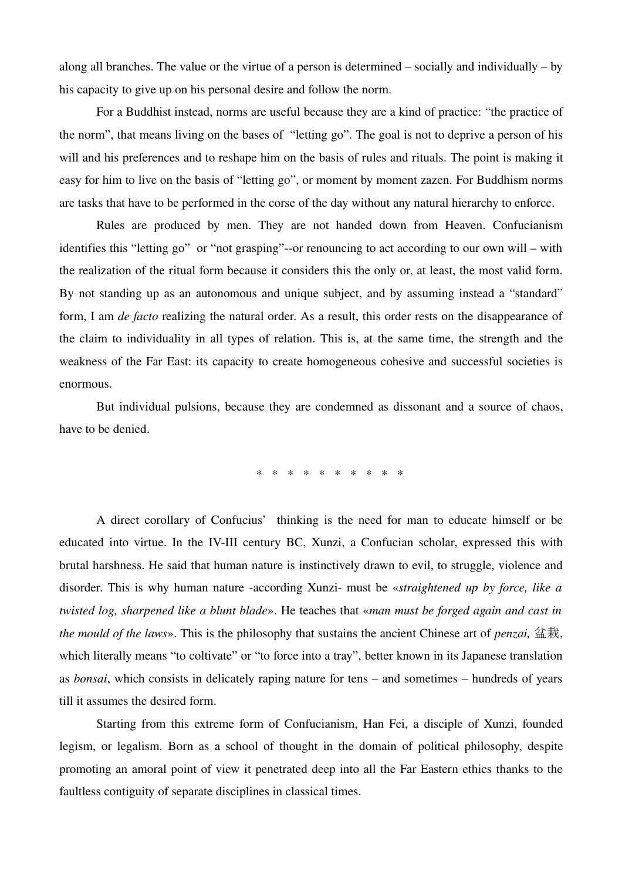along all branches. The value or the virtue of a person is determined – socially and individually – by his capacity to give up on his personal desire and follow the norm.

For a Buddhist instead, norms are useful because they are a kind of practice: "the practice of the norm", that means living on the bases of "letting go". The goal is not to deprive a person of his will and his preferences and to reshape him on the basis of rules and rituals. The point is making it easy for him to live on the basis of "letting go", or moment by moment zazen. For Buddhism norms are tasks that have to be performed in the corse of the day without any natural hierarchy to enforce.

Rules are produced by men. They are not handed down from Heaven. Confucianism identifies this "letting go" or "not grasping"--or renouncing to act according to our own will – with the realization of the ritual form because it considers this the only or, at least, the most valid form. By not standing up as an autonomous and unique subject, and by assuming instead a "standard" form, I am *de facto* realizing the natural order. As a result, this order rests on the disappearance of the claim to individuality in all types of relation. This is, at the same time, the strength and the weakness of the Far East: its capacity to create homogeneous cohesive and successful societies is enormous.

But individual pulsions, because they are condemned as dissonant and a source of chaos, have to be denied.

\* \* \* \* \* \* \* \* \* \*

A direct corollary of Confucius' thinking is the need for man to educate himself or be educated into virtue. In the IV-III century BC, Xunzi, a Confucian scholar, expressed this with brutal harshness. He said that human nature is instinctively drawn to evil, to struggle, violence and disorder. This is why human nature -according Xunzi- must be «*straightened up by force*, like a *twisted log, sharpened like a blunt blade*». He teaches that «*man must be forged again and cast in the mould of the laws*». This is the philosophy that sustains the ancient Chinese art of *penzai,* 盆栽, which literally means "to coltivate" or "to force into a tray", better known in its Japanese translation as *bonsai*, which consists in delicately raping nature for tens – and sometimes – hundreds of years till it assumes the desired form.

Starting from this extreme form of Confucianism, Han Fei, a disciple of Xunzi, founded legism, or legalism. Born as a school of thought in the domain of political philosophy, despite promoting an amoral point of view it penetrated deep into all the Far Eastern ethics thanks to the faultless contiguity of separate disciplines in classical times.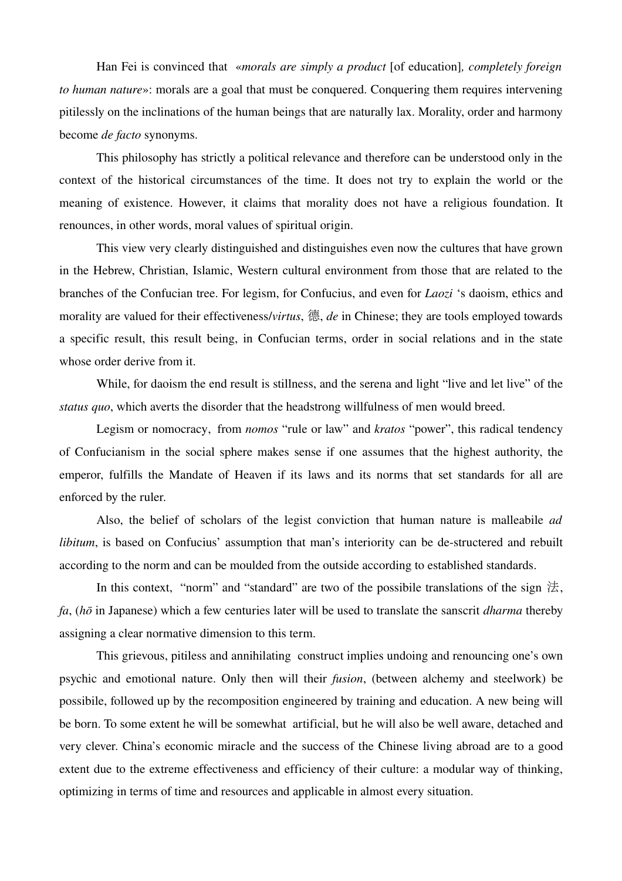Han Fei is convinced that «*morals are simply a product* [of education]*, completely foreign to human nature*»: morals are a goal that must be conquered. Conquering them requires intervening pitilessly on the inclinations of the human beings that are naturally lax. Morality, order and harmony become *de facto* synonyms.

This philosophy has strictly a political relevance and therefore can be understood only in the context of the historical circumstances of the time. It does not try to explain the world or the meaning of existence. However, it claims that morality does not have a religious foundation. It renounces, in other words, moral values of spiritual origin.

This view very clearly distinguished and distinguishes even now the cultures that have grown in the Hebrew, Christian, Islamic, Western cultural environment from those that are related to the branches of the Confucian tree. For legism, for Confucius, and even for *Laozi* 's daoism, ethics and morality are valued for their effectiveness/*virtus*, 德, *de* in Chinese; they are tools employed towards a specific result, this result being, in Confucian terms, order in social relations and in the state whose order derive from it.

While, for daoism the end result is stillness, and the serena and light "live and let live" of the *status quo*, which averts the disorder that the headstrong willfulness of men would breed.

Legism or nomocracy, from *nomos* "rule or law" and *kratos* "power", this radical tendency of Confucianism in the social sphere makes sense if one assumes that the highest authority, the emperor, fulfills the Mandate of Heaven if its laws and its norms that set standards for all are enforced by the ruler.

Also, the belief of scholars of the legist conviction that human nature is malleabile *ad libitum*, is based on Confucius' assumption that man's interiority can be de-structered and rebuilt according to the norm and can be moulded from the outside according to established standards.

In this context, "norm" and "standard" are two of the possibile translations of the sign  $\sharp$ , *fa*, (*hō* in Japanese) which a few centuries later will be used to translate the sanscrit *dharma* thereby assigning a clear normative dimension to this term.

This grievous, pitiless and annihilating construct implies undoing and renouncing one's own psychic and emotional nature. Only then will their *fusion*, (between alchemy and steelwork) be possibile, followed up by the recomposition engineered by training and education. A new being will be born. To some extent he will be somewhat artificial, but he will also be well aware, detached and very clever. China's economic miracle and the success of the Chinese living abroad are to a good extent due to the extreme effectiveness and efficiency of their culture: a modular way of thinking, optimizing in terms of time and resources and applicable in almost every situation.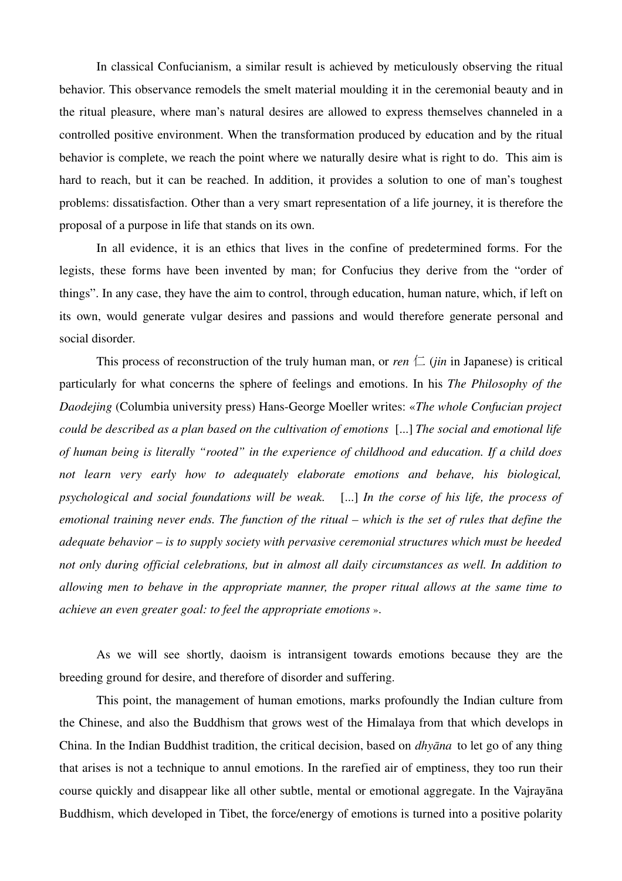In classical Confucianism, a similar result is achieved by meticulously observing the ritual behavior. This observance remodels the smelt material moulding it in the ceremonial beauty and in the ritual pleasure, where man's natural desires are allowed to express themselves channeled in a controlled positive environment. When the transformation produced by education and by the ritual behavior is complete, we reach the point where we naturally desire what is right to do. This aim is hard to reach, but it can be reached. In addition, it provides a solution to one of man's toughest problems: dissatisfaction. Other than a very smart representation of a life journey, it is therefore the proposal of a purpose in life that stands on its own.

In all evidence, it is an ethics that lives in the confine of predetermined forms. For the legists, these forms have been invented by man; for Confucius they derive from the "order of things". In any case, they have the aim to control, through education, human nature, which, if left on its own, would generate vulgar desires and passions and would therefore generate personal and social disorder.

This process of reconstruction of the truly human man, or *ren*  $\Box$  (*jin* in Japanese) is critical particularly for what concerns the sphere of feelings and emotions. In his *The Philosophy of the Daodejing* (Columbia university press) Hans-George Moeller writes: «*The whole Confucian project could be described as a plan based on the cultivation of emotions*  [...] *The social and emotional life of human being is literally "rooted" in the experience of childhood and education. If a child does not learn very early how to adequately elaborate emotions and behave, his biological, psychological and social foundations will be weak.* [...] In the corse of his life, the process of *emotional training never ends. The function of the ritual – which is the set of rules that define the adequate behavior – is to supply society with pervasive ceremonial structures which must be heeded not only during official celebrations, but in almost all daily circumstances as well. In addition to allowing men to behave in the appropriate manner, the proper ritual allows at the same time to achieve an even greater goal: to feel the appropriate emotions* ».

As we will see shortly, daoism is intransigent towards emotions because they are the breeding ground for desire, and therefore of disorder and suffering.

This point, the management of human emotions, marks profoundly the Indian culture from the Chinese, and also the Buddhism that grows west of the Himalaya from that which develops in China. In the Indian Buddhist tradition, the critical decision, based on *dhyāna* to let go of any thing that arises is not a technique to annul emotions. In the rarefied air of emptiness, they too run their course quickly and disappear like all other subtle, mental or emotional aggregate. In the Vajrayāna Buddhism, which developed in Tibet, the force/energy of emotions is turned into a positive polarity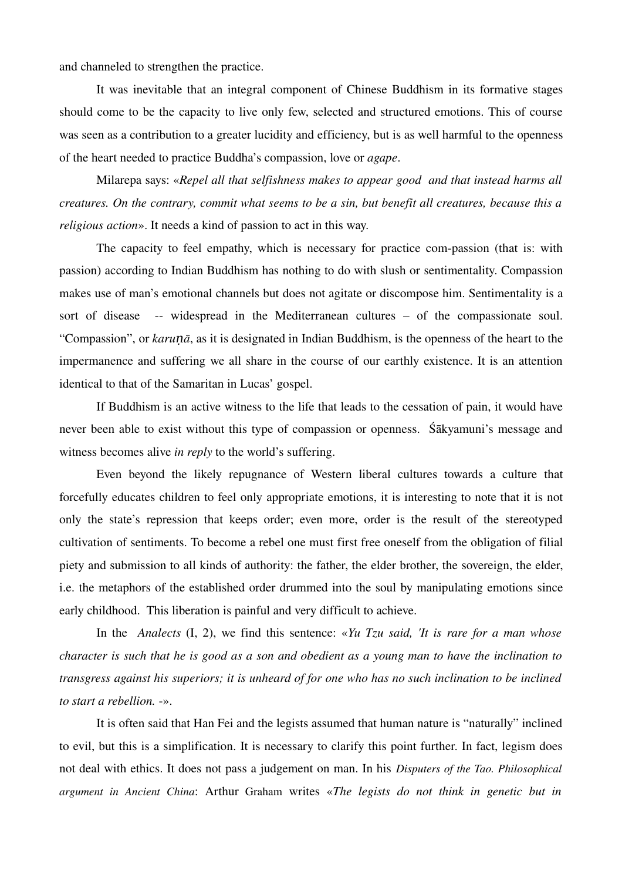and channeled to strengthen the practice.

It was inevitable that an integral component of Chinese Buddhism in its formative stages should come to be the capacity to live only few, selected and structured emotions. This of course was seen as a contribution to a greater lucidity and efficiency, but is as well harmful to the openness of the heart needed to practice Buddha's compassion, love or *agape*.

Milarepa says: «*Repel all that selfishness makes to appear good and that instead harms all creatures. On the contrary, commit what seems to be a sin, but benefit all creatures, because this a religious action*». It needs a kind of passion to act in this way.

The capacity to feel empathy, which is necessary for practice com-passion (that is: with passion) according to Indian Buddhism has nothing to do with slush or sentimentality. Compassion makes use of man's emotional channels but does not agitate or discompose him. Sentimentality is a sort of disease -- widespread in the Mediterranean cultures – of the compassionate soul. "Compassion", or *karuṇā*, as it is designated in Indian Buddhism, is the openness of the heart to the impermanence and suffering we all share in the course of our earthly existence. It is an attention identical to that of the Samaritan in Lucas' gospel.

If Buddhism is an active witness to the life that leads to the cessation of pain, it would have never been able to exist without this type of compassion or openness. Śākyamuni's message and witness becomes alive *in reply* to the world's suffering.

Even beyond the likely repugnance of Western liberal cultures towards a culture that forcefully educates children to feel only appropriate emotions, it is interesting to note that it is not only the state's repression that keeps order; even more, order is the result of the stereotyped cultivation of sentiments. To become a rebel one must first free oneself from the obligation of filial piety and submission to all kinds of authority: the father, the elder brother, the sovereign, the elder, i.e. the metaphors of the established order drummed into the soul by manipulating emotions since early childhood. This liberation is painful and very difficult to achieve.

In the *Analects* (I, 2), we find this sentence: «*Yu Tzu said, 'It is rare for a man whose character is such that he is good as a son and obedient as a young man to have the inclination to transgress against his superiors; it is unheard of for one who has no such inclination to be inclined to start a rebellion.* ».

It is often said that Han Fei and the legists assumed that human nature is "naturally" inclined to evil, but this is a simplification. It is necessary to clarify this point further. In fact, legism does not deal with ethics. It does not pass a judgement on man. In his *Disputers of the Tao. Philosophical argument in Ancient China*: Arthur Graham writes «*The legists do not think in genetic but in*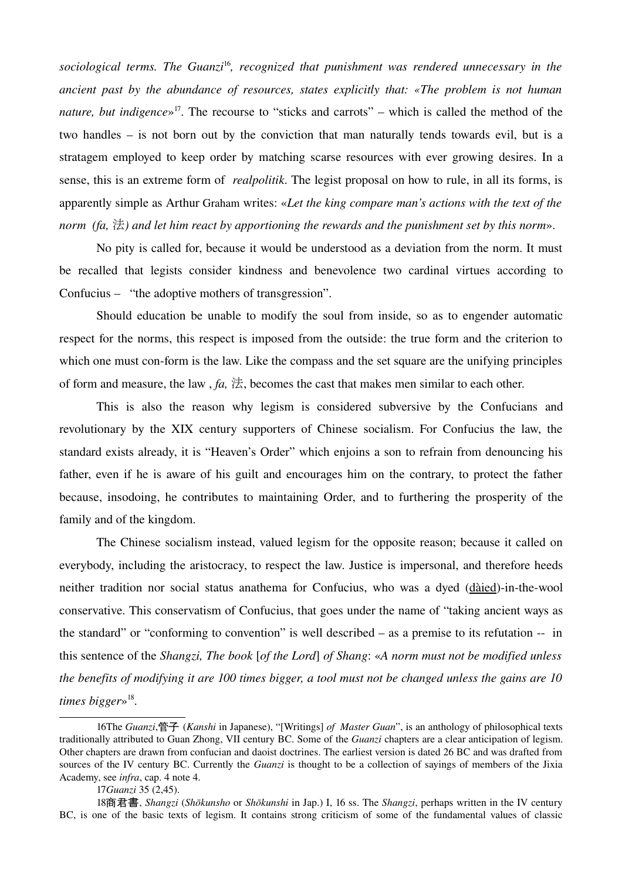*sociological terms. The Guanzi*[16](#page-14-0)*, recognized that punishment was rendered unnecessary in the ancient past by the abundance of resources, states explicitly that: «The problem is not human nature, but indigence*» [17](#page-14-1). The recourse to "sticks and carrots" – which is called the method of the two handles – is not born out by the conviction that man naturally tends towards evil, but is a stratagem employed to keep order by matching scarse resources with ever growing desires. In a sense, this is an extreme form of *realpolitik*. The legist proposal on how to rule, in all its forms, is apparently simple as Arthur Graham writes: «*Let the king compare man's actions with the text of the norm (fa,* 法*) and let him react by apportioning the rewards and the punishment set by this norm*».

No pity is called for, because it would be understood as a deviation from the norm. It must be recalled that legists consider kindness and benevolence two cardinal virtues according to Confucius – "the adoptive mothers of transgression".

Should education be unable to modify the soul from inside, so as to engender automatic respect for the norms, this respect is imposed from the outside: the true form and the criterion to which one must con-form is the law. Like the compass and the set square are the unifying principles of form and measure, the law,  $fa$ ,  $\sharp$ , becomes the cast that makes men similar to each other.

This is also the reason why legism is considered subversive by the Confucians and revolutionary by the XIX century supporters of Chinese socialism. For Confucius the law, the standard exists already, it is "Heaven's Order" which enjoins a son to refrain from denouncing his father, even if he is aware of his guilt and encourages him on the contrary, to protect the father because, insodoing, he contributes to maintaining Order, and to furthering the prosperity of the family and of the kingdom.

The Chinese socialism instead, valued legism for the opposite reason; because it called on everybody, including the aristocracy, to respect the law. Justice is impersonal, and therefore heeds neither tradition nor social status anathema for Confucius, who was a dyed (dàied)-in-the-wool conservative. This conservatism of Confucius, that goes under the name of "taking ancient ways as the standard" or "conforming to convention" is well described  $-$  as a premise to its refutation  $-$  in this sentence of the *Shangzi, The book* [*of the Lord*] *of Shang*: «*A norm must not be modified unless the benefits of modifying it are 100 times bigger, a tool must not be changed unless the gains are 10 times bigger*» [18](#page-14-2) .

<span id="page-14-0"></span><sup>16</sup>The *Guanzi*,管子 (*Kanshi* in Japanese), "[Writings] *of Master Guan*", is an anthology of philosophical texts traditionally attributed to Guan Zhong, VII century BC. Some of the *Guanzi* chapters are a clear anticipation of legism. Other chapters are drawn from confucian and daoist doctrines. The earliest version is dated 26 BC and was drafted from sources of the IV century BC. Currently the *Guanzi* is thought to be a collection of sayings of members of the Jixia Academy, see *infra*, cap. 4 note 4.

<span id="page-14-2"></span><span id="page-14-1"></span><sup>17</sup>*Guanzi* 35 (2,45).

<sup>18</sup>商君書, *Shangzi* (*Shōkunsho* or *Shōkunshi* in Jap.) I, 16 ss. The *Shangzi*, perhaps written in the IV century BC, is one of the basic texts of legism. It contains strong criticism of some of the fundamental values of classic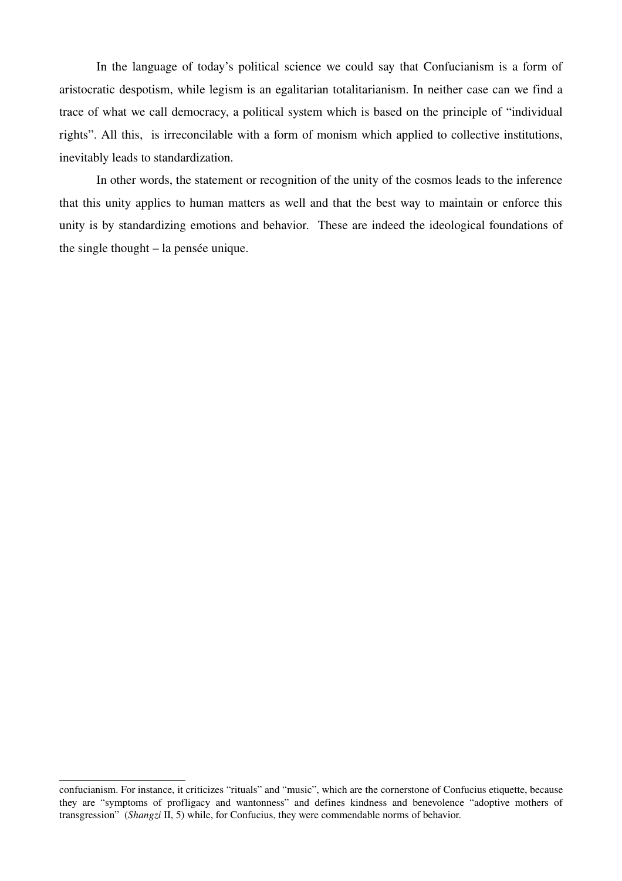In the language of today's political science we could say that Confucianism is a form of aristocratic despotism, while legism is an egalitarian totalitarianism. In neither case can we find a trace of what we call democracy, a political system which is based on the principle of "individual rights". All this, is irreconcilable with a form of monism which applied to collective institutions, inevitably leads to standardization.

In other words, the statement or recognition of the unity of the cosmos leads to the inference that this unity applies to human matters as well and that the best way to maintain or enforce this unity is by standardizing emotions and behavior. These are indeed the ideological foundations of the single thought – la pensée unique.

confucianism. For instance, it criticizes "rituals" and "music", which are the cornerstone of Confucius etiquette, because they are "symptoms of profligacy and wantonness" and defines kindness and benevolence "adoptive mothers of transgression" (*Shangzi* II, 5) while, for Confucius, they were commendable norms of behavior.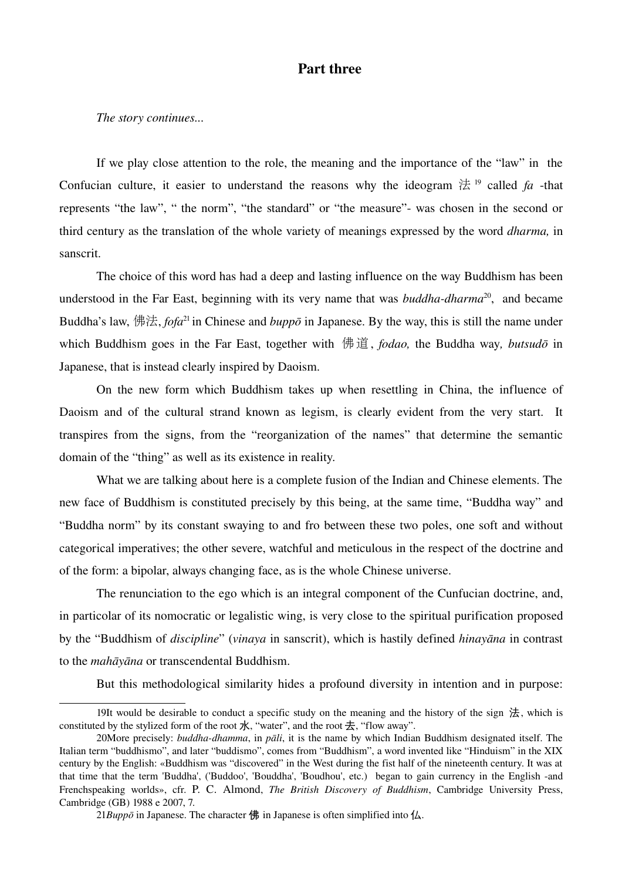# Part three

*The story continues...*

If we play close attention to the role, the meaning and the importance of the "law" in the Confucian culture, it easier to understand the reasons why the ideogram  $\sharp$  <sup>[19](#page-16-0)</sup> called *fa* -that represents "the law", " the norm", "the standard" or "the measure"- was chosen in the second or third century as the translation of the whole variety of meanings expressed by the word *dharma,* in sanscrit.

The choice of this word has had a deep and lasting influence on the way Buddhism has been understood in the Far East, beginning with its very name that was *buddha-dharma*<sup>[20](#page-16-1)</sup>, and became Buddha's law, 佛法, *fofa*<sup>[21](#page-16-2)</sup> in Chinese and *buppō* in Japanese. By the way, this is still the name under which Buddhism goes in the Far East, together with 佛道, *fodao,* the Buddha way*, butsudō* in Japanese, that is instead clearly inspired by Daoism.

On the new form which Buddhism takes up when resettling in China, the influence of Daoism and of the cultural strand known as legism, is clearly evident from the very start. It transpires from the signs, from the "reorganization of the names" that determine the semantic domain of the "thing" as well as its existence in reality.

What we are talking about here is a complete fusion of the Indian and Chinese elements. The new face of Buddhism is constituted precisely by this being, at the same time, "Buddha way" and "Buddha norm" by its constant swaying to and fro between these two poles, one soft and without categorical imperatives; the other severe, watchful and meticulous in the respect of the doctrine and of the form: a bipolar, always changing face, as is the whole Chinese universe.

The renunciation to the ego which is an integral component of the Cunfucian doctrine, and, in particolar of its nomocratic or legalistic wing, is very close to the spiritual purification proposed by the "Buddhism of *discipline*" (*vinaya* in sanscrit), which is hastily defined *hinayāna* in contrast to the *mahāyāna* or transcendental Buddhism.

<span id="page-16-0"></span>But this methodological similarity hides a profound diversity in intention and in purpose:

<sup>19</sup>It would be desirable to conduct a specific study on the meaning and the history of the sign  $$\sharp$$ , which is constituted by the stylized form of the root  $\pi$ , "water", and the root  $\pm$ , "flow away".

<span id="page-16-1"></span><sup>20</sup>More precisely: *buddha-dhamma*, in *pāli*, it is the name by which Indian Buddhism designated itself. The Italian term "buddhismo", and later "buddismo", comes from "Buddhism", a word invented like "Hinduism" in the XIX century by the English: «Buddhism was "discovered" in the West during the fist half of the nineteenth century. It was at that time that the term 'Buddha', ('Buddoo', 'Bouddha', 'Boudhou', etc.) began to gain currency in the English -and Frenchspeaking worlds», cfr. P. C. Almond, *The British Discovery of Buddhism*, Cambridge University Press, Cambridge (GB) 1988 e 2007, 7.

<span id="page-16-2"></span><sup>21</sup>*Buppō* in Japanese. The character 佛 in Japanese is often simplified into  $\Delta$ .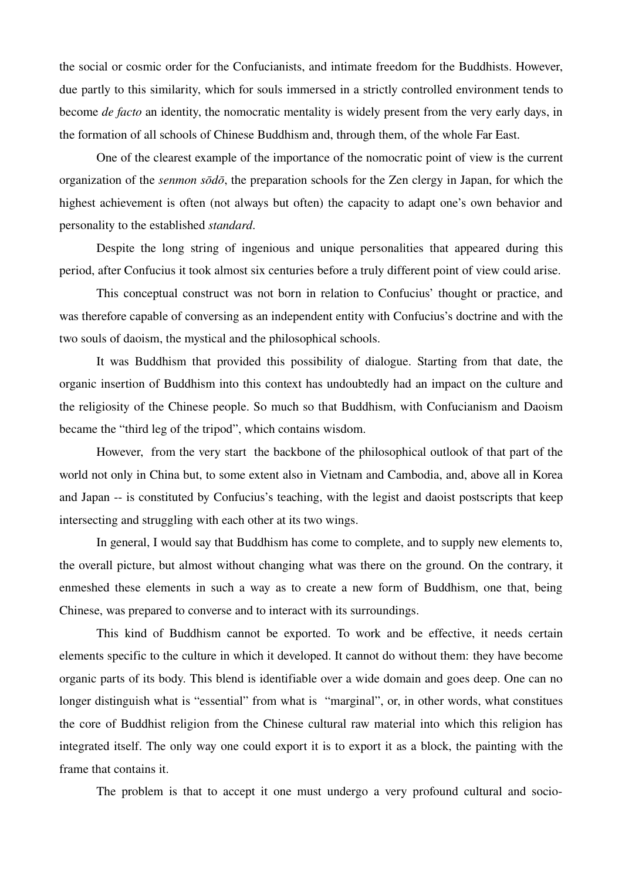the social or cosmic order for the Confucianists, and intimate freedom for the Buddhists. However, due partly to this similarity, which for souls immersed in a strictly controlled environment tends to become *de facto* an identity, the nomocratic mentality is widely present from the very early days, in the formation of all schools of Chinese Buddhism and, through them, of the whole Far East.

One of the clearest example of the importance of the nomocratic point of view is the current organization of the *senmon sōdō*, the preparation schools for the Zen clergy in Japan, for which the highest achievement is often (not always but often) the capacity to adapt one's own behavior and personality to the established *standard*.

Despite the long string of ingenious and unique personalities that appeared during this period, after Confucius it took almost six centuries before a truly different point of view could arise.

This conceptual construct was not born in relation to Confucius' thought or practice, and was therefore capable of conversing as an independent entity with Confucius's doctrine and with the two souls of daoism, the mystical and the philosophical schools.

It was Buddhism that provided this possibility of dialogue. Starting from that date, the organic insertion of Buddhism into this context has undoubtedly had an impact on the culture and the religiosity of the Chinese people. So much so that Buddhism, with Confucianism and Daoism became the "third leg of the tripod", which contains wisdom.

However, from the very start the backbone of the philosophical outlook of that part of the world not only in China but, to some extent also in Vietnam and Cambodia, and, above all in Korea and Japan -- is constituted by Confucius's teaching, with the legist and daoist postscripts that keep intersecting and struggling with each other at its two wings.

In general, I would say that Buddhism has come to complete, and to supply new elements to, the overall picture, but almost without changing what was there on the ground. On the contrary, it enmeshed these elements in such a way as to create a new form of Buddhism, one that, being Chinese, was prepared to converse and to interact with its surroundings.

This kind of Buddhism cannot be exported. To work and be effective, it needs certain elements specific to the culture in which it developed. It cannot do without them: they have become organic parts of its body. This blend is identifiable over a wide domain and goes deep. One can no longer distinguish what is "essential" from what is "marginal", or, in other words, what constitues the core of Buddhist religion from the Chinese cultural raw material into which this religion has integrated itself. The only way one could export it is to export it as a block, the painting with the frame that contains it.

The problem is that to accept it one must undergo a very profound cultural and socio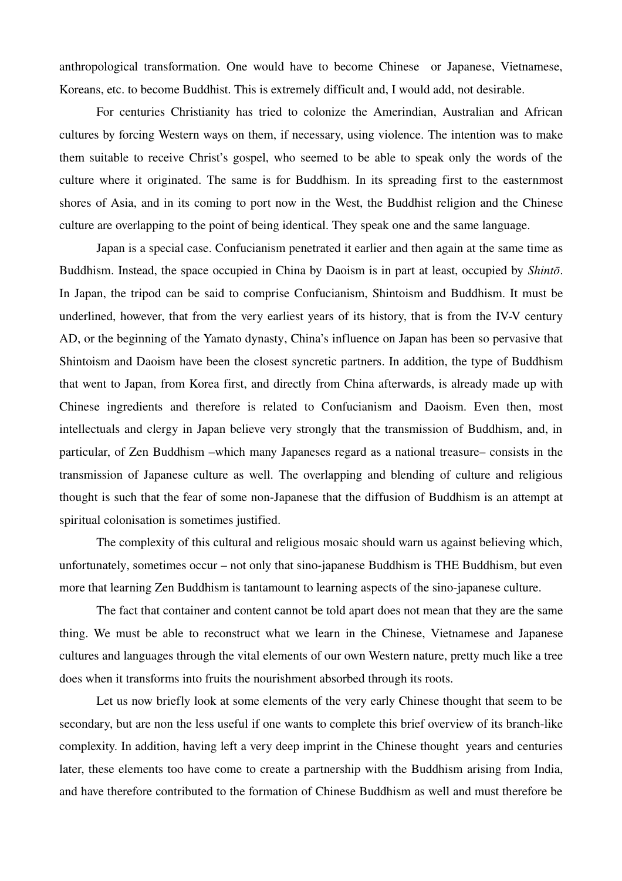anthropological transformation. One would have to become Chinese or Japanese, Vietnamese, Koreans, etc. to become Buddhist. This is extremely difficult and, I would add, not desirable.

For centuries Christianity has tried to colonize the Amerindian, Australian and African cultures by forcing Western ways on them, if necessary, using violence. The intention was to make them suitable to receive Christ's gospel, who seemed to be able to speak only the words of the culture where it originated. The same is for Buddhism. In its spreading first to the easternmost shores of Asia, and in its coming to port now in the West, the Buddhist religion and the Chinese culture are overlapping to the point of being identical. They speak one and the same language.

Japan is a special case. Confucianism penetrated it earlier and then again at the same time as Buddhism. Instead, the space occupied in China by Daoism is in part at least, occupied by *Shintō*. In Japan, the tripod can be said to comprise Confucianism, Shintoism and Buddhism. It must be underlined, however, that from the very earliest years of its history, that is from the IV-V century AD, or the beginning of the Yamato dynasty, China's influence on Japan has been so pervasive that Shintoism and Daoism have been the closest syncretic partners. In addition, the type of Buddhism that went to Japan, from Korea first, and directly from China afterwards, is already made up with Chinese ingredients and therefore is related to Confucianism and Daoism. Even then, most intellectuals and clergy in Japan believe very strongly that the transmission of Buddhism, and, in particular, of Zen Buddhism –which many Japaneses regard as a national treasure– consists in the transmission of Japanese culture as well. The overlapping and blending of culture and religious thought is such that the fear of some nonJapanese that the diffusion of Buddhism is an attempt at spiritual colonisation is sometimes justified.

The complexity of this cultural and religious mosaic should warn us against believing which, unfortunately, sometimes occur – not only that sino-japanese Buddhism is THE Buddhism, but even more that learning Zen Buddhism is tantamount to learning aspects of the sino-japanese culture.

The fact that container and content cannot be told apart does not mean that they are the same thing. We must be able to reconstruct what we learn in the Chinese, Vietnamese and Japanese cultures and languages through the vital elements of our own Western nature, pretty much like a tree does when it transforms into fruits the nourishment absorbed through its roots.

Let us now briefly look at some elements of the very early Chinese thought that seem to be secondary, but are non the less useful if one wants to complete this brief overview of its branch-like complexity. In addition, having left a very deep imprint in the Chinese thought years and centuries later, these elements too have come to create a partnership with the Buddhism arising from India, and have therefore contributed to the formation of Chinese Buddhism as well and must therefore be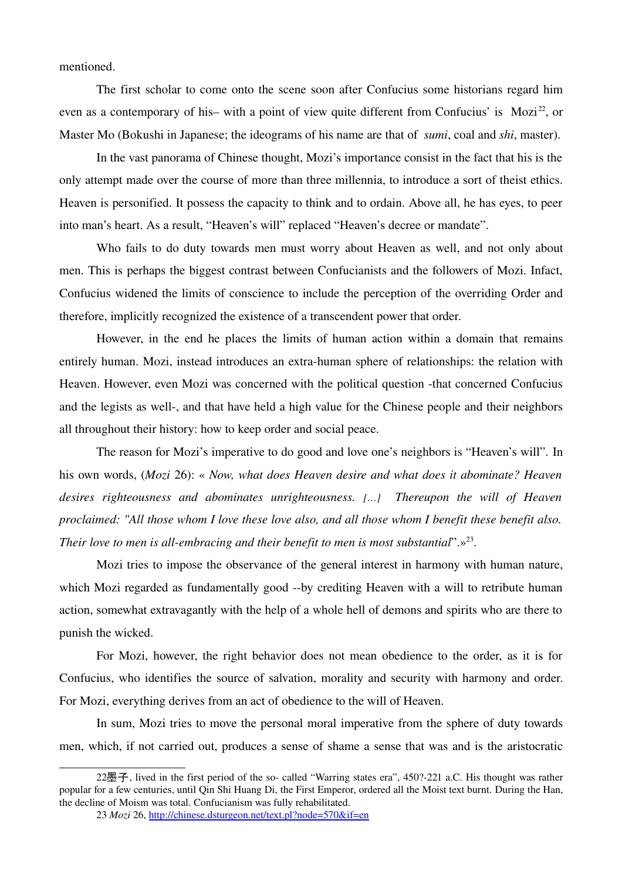mentioned.

The first scholar to come onto the scene soon after Confucius some historians regard him even as a contemporary of his– with a point of view quite different from Confucius' is  $Mozi^{22}$  $Mozi^{22}$  $Mozi^{22}$ , or Master Mo (Bokushi in Japanese; the ideograms of his name are that of *sumi*, coal and *shi*, master).

In the vast panorama of Chinese thought, Mozi's importance consist in the fact that his is the only attempt made over the course of more than three millennia, to introduce a sort of theist ethics. Heaven is personified. It possess the capacity to think and to ordain. Above all, he has eyes, to peer into man's heart. As a result, "Heaven's will" replaced "Heaven's decree or mandate".

Who fails to do duty towards men must worry about Heaven as well, and not only about men. This is perhaps the biggest contrast between Confucianists and the followers of Mozi. Infact, Confucius widened the limits of conscience to include the perception of the overriding Order and therefore, implicitly recognized the existence of a transcendent power that order.

However, in the end he places the limits of human action within a domain that remains entirely human. Mozi, instead introduces an extra-human sphere of relationships: the relation with Heaven. However, even Mozi was concerned with the political question -that concerned Confucius and the legists as well-, and that have held a high value for the Chinese people and their neighbors all throughout their history: how to keep order and social peace.

The reason for Mozi's imperative to do good and love one's neighbors is "Heaven's will". In his own words, (*Mozi* 26): « *Now, what does Heaven desire and what does it abominate? Heaven desires righteousness and abominates unrighteousness. […] Thereupon the will of Heaven proclaimed: "All those whom I love these love also, and all those whom I benefit these benefit also. Their love to men is all-embracing and their benefit to men is most substantial*".»<sup>[23](#page-19-1)</sup>.

Mozi tries to impose the observance of the general interest in harmony with human nature, which Mozi regarded as fundamentally good --by crediting Heaven with a will to retribute human action, somewhat extravagantly with the help of a whole hell of demons and spirits who are there to punish the wicked.

For Mozi, however, the right behavior does not mean obedience to the order, as it is for Confucius, who identifies the source of salvation, morality and security with harmony and order. For Mozi, everything derives from an act of obedience to the will of Heaven.

In sum, Mozi tries to move the personal moral imperative from the sphere of duty towards men, which, if not carried out, produces a sense of shame a sense that was and is the aristocratic

 $22$ 墨子, lived in the first period of the so- called "Warring states era", 450?-221 a.C. His thought was rather popular for a few centuries, until Qin Shi Huang Di, the First Emperor, ordered all the Moist text burnt. During the Han, the decline of Moism was total. Confucianism was fully rehabilitated.

<span id="page-19-1"></span><span id="page-19-0"></span><sup>23</sup> *Mozi* 26, <http://chinese.dsturgeon.net/text.pl?node=570&if=en>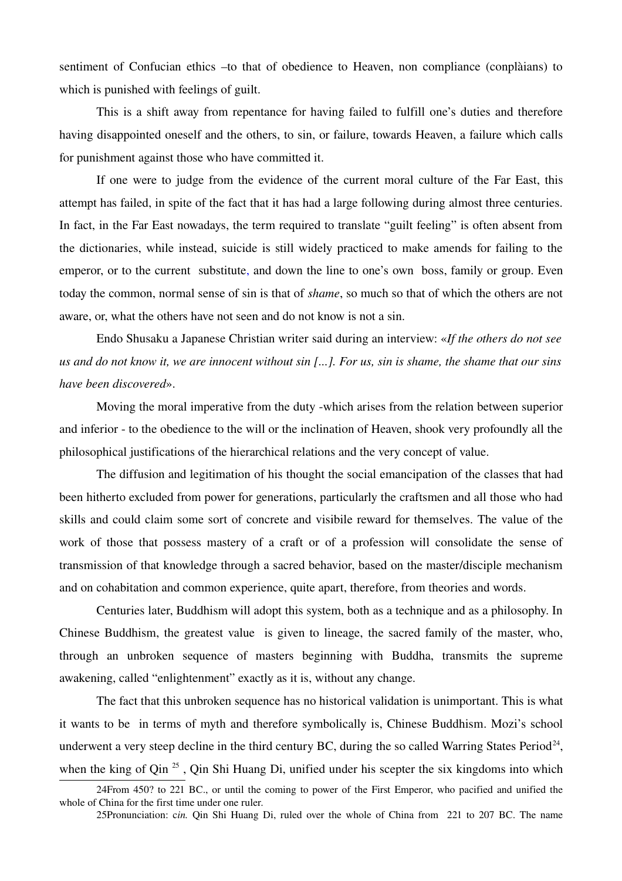sentiment of Confucian ethics –to that of obedience to Heaven, non compliance (conplàians) to which is punished with feelings of guilt.

This is a shift away from repentance for having failed to fulfill one's duties and therefore having disappointed oneself and the others, to sin, or failure, towards Heaven, a failure which calls for punishment against those who have committed it.

If one were to judge from the evidence of the current moral culture of the Far East, this attempt has failed, in spite of the fact that it has had a large following during almost three centuries. In fact, in the Far East nowadays, the term required to translate "guilt feeling" is often absent from the dictionaries, while instead, suicide is still widely practiced to make amends for failing to the emperor, or to the current substitute, and down the line to one's own boss, family or group. Even today the common, normal sense of sin is that of *shame*, so much so that of which the others are not aware, or, what the others have not seen and do not know is not a sin.

Endo Shusaku a Japanese Christian writer said during an interview: «*If the others do not see us and do not know it, we are innocent without sin [...]. For us, sin is shame, the shame that our sins have been discovered*».

Moving the moral imperative from the duty -which arises from the relation between superior and inferior - to the obedience to the will or the inclination of Heaven, shook very profoundly all the philosophical justifications of the hierarchical relations and the very concept of value.

The diffusion and legitimation of his thought the social emancipation of the classes that had been hitherto excluded from power for generations, particularly the craftsmen and all those who had skills and could claim some sort of concrete and visibile reward for themselves. The value of the work of those that possess mastery of a craft or of a profession will consolidate the sense of transmission of that knowledge through a sacred behavior, based on the master/disciple mechanism and on cohabitation and common experience, quite apart, therefore, from theories and words.

Centuries later, Buddhism will adopt this system, both as a technique and as a philosophy. In Chinese Buddhism, the greatest value is given to lineage, the sacred family of the master, who, through an unbroken sequence of masters beginning with Buddha, transmits the supreme awakening, called "enlightenment" exactly as it is, without any change.

The fact that this unbroken sequence has no historical validation is unimportant. This is what it wants to be in terms of myth and therefore symbolically is, Chinese Buddhism. Mozi's school underwent a very steep decline in the third century BC, during the so called Warring States Period<sup>[24](#page-20-0)</sup>, when the king of Qin<sup>[25](#page-20-1)</sup>, Qin Shi Huang Di, unified under his scepter the six kingdoms into which

<sup>24</sup>From 450? to 221 BC., or until the coming to power of the First Emperor, who pacified and unified the whole of China for the first time under one ruler.

<span id="page-20-1"></span><span id="page-20-0"></span><sup>25</sup>Pronunciation: *cin.* Qin Shi Huang Di, ruled over the whole of China from 221 to 207 BC. The name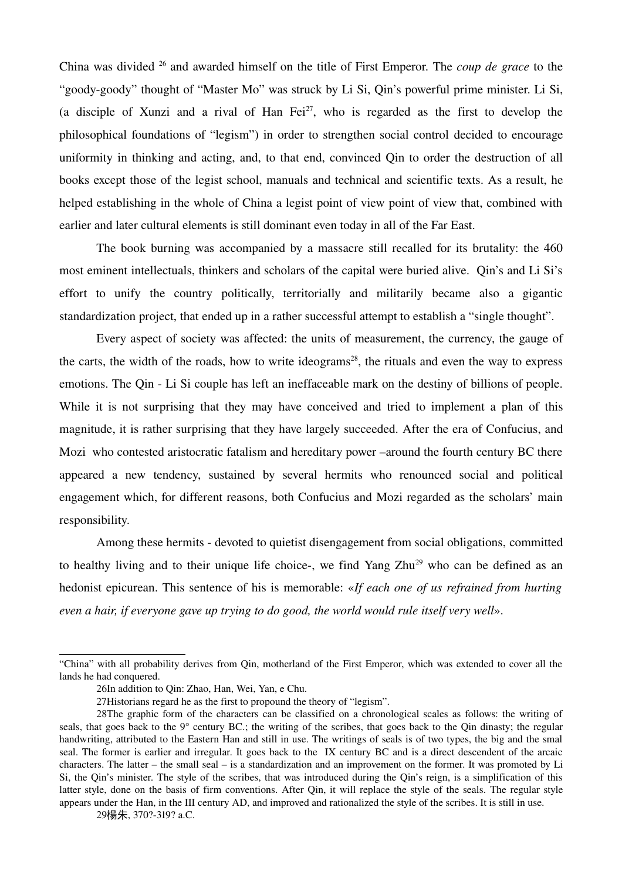China was divided [26](#page-21-0) and awarded himself on the title of First Emperor. The *coup de grace* to the "goody-goody" thought of "Master Mo" was struck by Li Si, Qin's powerful prime minister. Li Si, (a disciple of Xunzi and a rival of Han  $Fei^{27}$  $Fei^{27}$  $Fei^{27}$ , who is regarded as the first to develop the philosophical foundations of "legism") in order to strengthen social control decided to encourage uniformity in thinking and acting, and, to that end, convinced Qin to order the destruction of all books except those of the legist school, manuals and technical and scientific texts. As a result, he helped establishing in the whole of China a legist point of view point of view that, combined with earlier and later cultural elements is still dominant even today in all of the Far East.

The book burning was accompanied by a massacre still recalled for its brutality: the 460 most eminent intellectuals, thinkers and scholars of the capital were buried alive. Oin's and Li Si's effort to unify the country politically, territorially and militarily became also a gigantic standardization project, that ended up in a rather successful attempt to establish a "single thought".

Every aspect of society was affected: the units of measurement, the currency, the gauge of the carts, the width of the roads, how to write ideograms<sup>[28](#page-21-2)</sup>, the rituals and even the way to express emotions. The Qin - Li Si couple has left an ineffaceable mark on the destiny of billions of people. While it is not surprising that they may have conceived and tried to implement a plan of this magnitude, it is rather surprising that they have largely succeeded. After the era of Confucius, and Mozi who contested aristocratic fatalism and hereditary power –around the fourth century BC there appeared a new tendency, sustained by several hermits who renounced social and political engagement which, for different reasons, both Confucius and Mozi regarded as the scholars' main responsibility.

Among these hermits - devoted to quietist disengagement from social obligations, committed to healthy living and to their unique life choice-, we find Yang Zhu<sup>[29](#page-21-3)</sup> who can be defined as an hedonist epicurean. This sentence of his is memorable: «*If each one of us refrained from hurting even a hair, if everyone gave up trying to do good, the world would rule itself very well*».

<sup>&</sup>quot;China" with all probability derives from Qin, motherland of the First Emperor, which was extended to cover all the lands he had conquered.

<span id="page-21-0"></span><sup>26</sup>In addition to Qin: Zhao, Han, Wei, Yan, e Chu.

<span id="page-21-2"></span><span id="page-21-1"></span><sup>27</sup>Historians regard he as the first to propound the theory of "legism".

<sup>28</sup>The graphic form of the characters can be classified on a chronological scales as follows: the writing of seals, that goes back to the 9° century BC.; the writing of the scribes, that goes back to the Qin dinasty; the regular handwriting, attributed to the Eastern Han and still in use. The writings of seals is of two types, the big and the smal seal. The former is earlier and irregular. It goes back to the IX century BC and is a direct descendent of the arcaic characters. The latter – the small seal – is a standardization and an improvement on the former. It was promoted by Li Si, the Qin's minister. The style of the scribes, that was introduced during the Qin's reign, is a simplification of this latter style, done on the basis of firm conventions. After Qin, it will replace the style of the seals. The regular style appears under the Han, in the III century AD, and improved and rationalized the style of the scribes. It is still in use.

<span id="page-21-3"></span><sup>29</sup>楊朱, 370?-319? a.C.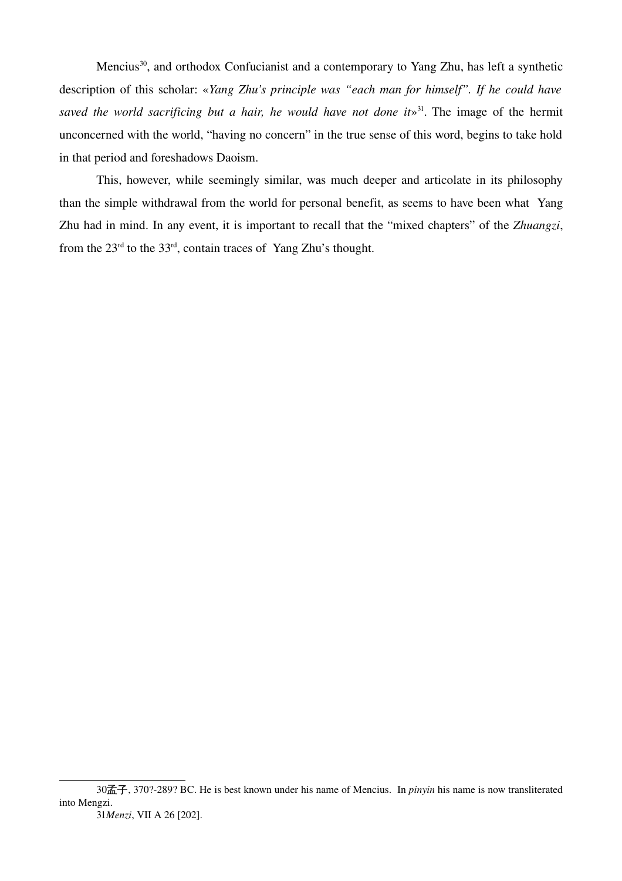Mencius<sup>[30](#page-22-0)</sup>, and orthodox Confucianist and a contemporary to Yang Zhu, has left a synthetic description of this scholar: «*Yang Zhu's principle was "each man for himself". If he could have* saved the world sacrificing but a hair, he would have not done it»<sup>[31](#page-22-1)</sup>. The image of the hermit unconcerned with the world, "having no concern" in the true sense of this word, begins to take hold in that period and foreshadows Daoism.

This, however, while seemingly similar, was much deeper and articolate in its philosophy than the simple withdrawal from the world for personal benefit, as seems to have been what Yang Zhu had in mind. In any event, it is important to recall that the "mixed chapters" of the *Zhuangzi*, from the  $23<sup>rd</sup>$  to the  $33<sup>rd</sup>$ , contain traces of Yang Zhu's thought.

<span id="page-22-1"></span><span id="page-22-0"></span><sup>30</sup>孟子, 370?289? BC. He is best known under his name of Mencius. In *pinyin* his name is now transliterated into Mengzi.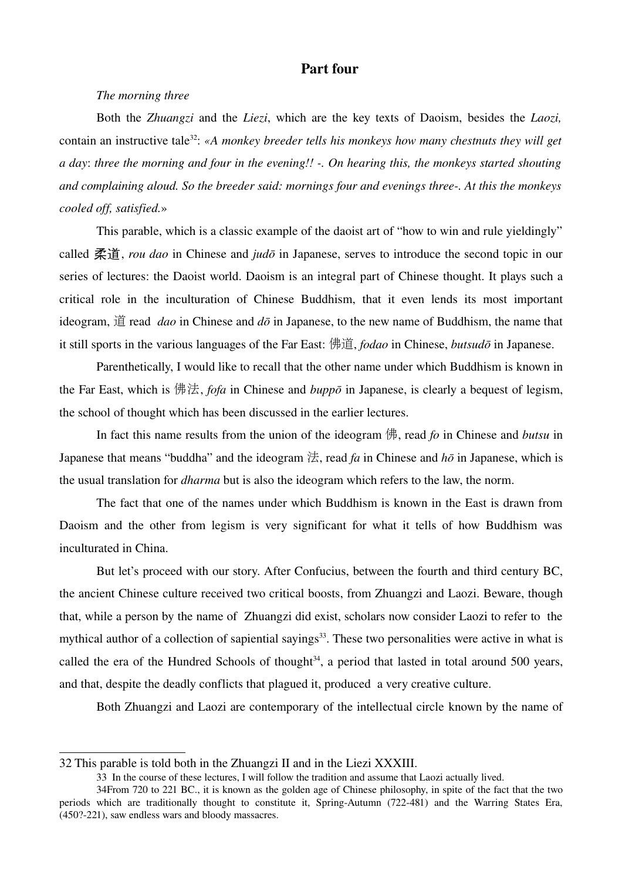## Part four

### *The morning three*

Both the *Zhuangzi* and the *Liezi*, which are the key texts of Daoism, besides the *Laozi*, contain an instructive tale<sup>[32](#page-23-0)</sup>: «A monkey breeder tells his monkeys how many chestnuts they will get *a day*: *three the morning and four in the evening!! . On hearing this, the monkeys started shouting and complaining aloud. So the breeder said: mornings four and evenings three. At this the monkeys cooled off, satisfied.*»

This parable, which is a classic example of the daoist art of "how to win and rule yieldingly" called 柔道, *rou dao* in Chinese and *judō* in Japanese, serves to introduce the second topic in our series of lectures: the Daoist world. Daoism is an integral part of Chinese thought. It plays such a critical role in the inculturation of Chinese Buddhism, that it even lends its most important ideogram, 道 read *dao* in Chinese and *dō* in Japanese, to the new name of Buddhism, the name that it still sports in the various languages of the Far East: 佛道, *fodao* in Chinese, *butsudō* in Japanese.

Parenthetically, I would like to recall that the other name under which Buddhism is known in the Far East, which is 佛法, *fofa* in Chinese and *buppō* in Japanese, is clearly a bequest of legism, the school of thought which has been discussed in the earlier lectures.

In fact this name results from the union of the ideogram 佛, read *fo* in Chinese and *butsu* in Japanese that means "buddha" and the ideogram  $\sharp \hat{\mathcal{F}}$ , read *fa* in Chinese and  $h\bar{\sigma}$  in Japanese, which is the usual translation for *dharma* but is also the ideogram which refers to the law, the norm.

The fact that one of the names under which Buddhism is known in the East is drawn from Daoism and the other from legism is very significant for what it tells of how Buddhism was inculturated in China.

But let's proceed with our story. After Confucius, between the fourth and third century BC, the ancient Chinese culture received two critical boosts, from Zhuangzi and Laozi. Beware, though that, while a person by the name of Zhuangzi did exist, scholars now consider Laozi to refer to the mythical author of a collection of sapiential sayings<sup>[33](#page-23-1)</sup>. These two personalities were active in what is called the era of the Hundred Schools of thought<sup>[34](#page-23-2)</sup>, a period that lasted in total around 500 years, and that, despite the deadly conflicts that plagued it, produced a very creative culture.

Both Zhuangzi and Laozi are contemporary of the intellectual circle known by the name of

<span id="page-23-0"></span><sup>32</sup> This parable is told both in the Zhuangzi II and in the Liezi XXXIII.

<span id="page-23-2"></span><span id="page-23-1"></span><sup>33</sup> In the course of these lectures, I will follow the tradition and assume that Laozi actually lived.

<sup>34</sup>From 720 to 221 BC., it is known as the golden age of Chinese philosophy, in spite of the fact that the two periods which are traditionally thought to constitute it, Spring-Autumn (722-481) and the Warring States Era, (450?-221), saw endless wars and bloody massacres.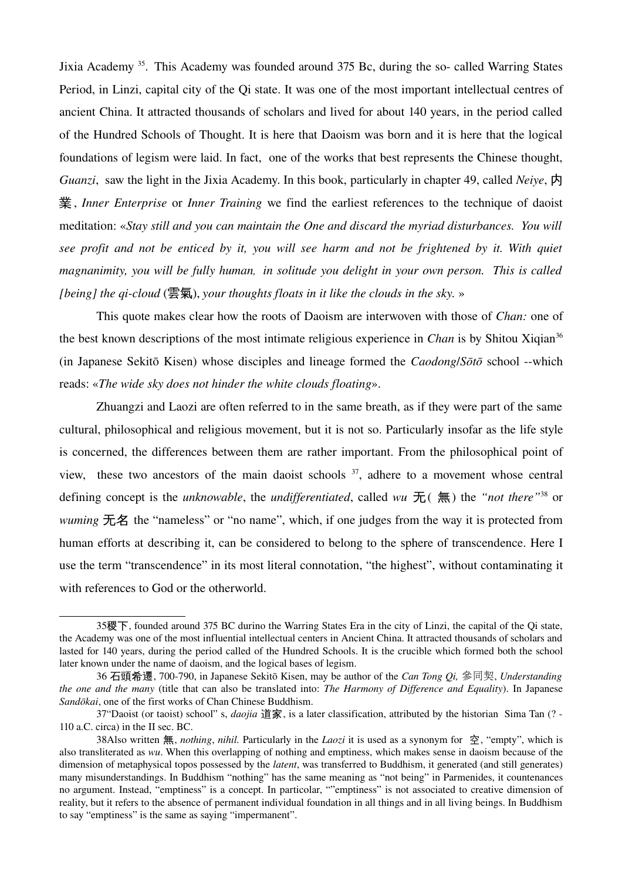Jixia Academy<sup>[35](#page-24-0)</sup>. This Academy was founded around 375 Bc, during the so- called Warring States Period, in Linzi, capital city of the Qi state. It was one of the most important intellectual centres of ancient China. It attracted thousands of scholars and lived for about 140 years, in the period called of the Hundred Schools of Thought. It is here that Daoism was born and it is here that the logical foundations of legism were laid. In fact, one of the works that best represents the Chinese thought, *Guanzi*, saw the light in the Jixia Academy. In this book, particularly in chapter 49, called *Neiye*, 内 業, *Inner Enterprise* or *Inner Training* we find the earliest references to the technique of daoist meditation: «*Stay still and you can maintain the One and discard the myriad disturbances. You will see profit and not be enticed by it, you will see harm and not be frightened by it. With quiet magnanimity, you will be fully human, in solitude you delight in your own person. This is called [being] the qicloud* (雲氣), *your thoughts floats in it like the clouds in the sky.* »

This quote makes clear how the roots of Daoism are interwoven with those of *Chan:* one of the best known descriptions of the most intimate religious experience in *Chan* is by Shitou Xiqian<sup>[36](#page-24-1)</sup> (in Japanese Sekitō Kisen) whose disciples and lineage formed the *Caodong/Sōtō* school --which reads: «*The wide sky does not hinder the white clouds floating*».

Zhuangzi and Laozi are often referred to in the same breath, as if they were part of the same cultural, philosophical and religious movement, but it is not so. Particularly insofar as the life style is concerned, the differences between them are rather important. From the philosophical point of view, these two ancestors of the main daoist schools  $37$ , adhere to a movement whose central defining concept is the *unknowable*, the *undifferentiated*, called *wu* 无( 無) the *"not there"*[38](#page-24-3) or *wuming* 无名 the "nameless" or "no name", which, if one judges from the way it is protected from human efforts at describing it, can be considered to belong to the sphere of transcendence. Here I use the term "transcendence" in its most literal connotation, "the highest", without contaminating it with references to God or the otherworld.

<span id="page-24-0"></span><sup>35</sup>稷下, founded around 375 BC durino the Warring States Era in the city of Linzi, the capital of the Qi state, the Academy was one of the most influential intellectual centers in Ancient China. It attracted thousands of scholars and lasted for 140 years, during the period called of the Hundred Schools. It is the crucible which formed both the school later known under the name of daoism, and the logical bases of legism.

<span id="page-24-1"></span><sup>36</sup> 石頭希遷, 700790, in Japanese Sekitō Kisen, may be author of the *Can Tong Qi,* 參同契, *Understanding the one and the many* (title that can also be translated into: *The Harmony of Difference and Equality*). In Japanese *Sandōkai*, one of the first works of Chan Chinese Buddhism.

<span id="page-24-2"></span><sup>37&</sup>quot;Daoist (or taoist) school" s, *daojia* 道家, is a later classification, attributed by the historian Sima Tan (? 110 a.C. circa) in the II sec. BC.

<span id="page-24-3"></span><sup>38</sup>Also written 無, *nothing*, *nihil.* Particularly in the *Laozi* it is used as a synonym for 空, "empty", which is also transliterated as *wu*. When this overlapping of nothing and emptiness, which makes sense in daoism because of the dimension of metaphysical topos possessed by the *latent*, was transferred to Buddhism, it generated (and still generates) many misunderstandings. In Buddhism "nothing" has the same meaning as "not being" in Parmenides, it countenances no argument. Instead, "emptiness" is a concept. In particolar, ""emptiness" is not associated to creative dimension of reality, but it refers to the absence of permanent individual foundation in all things and in all living beings. In Buddhism to say "emptiness" is the same as saying "impermanent".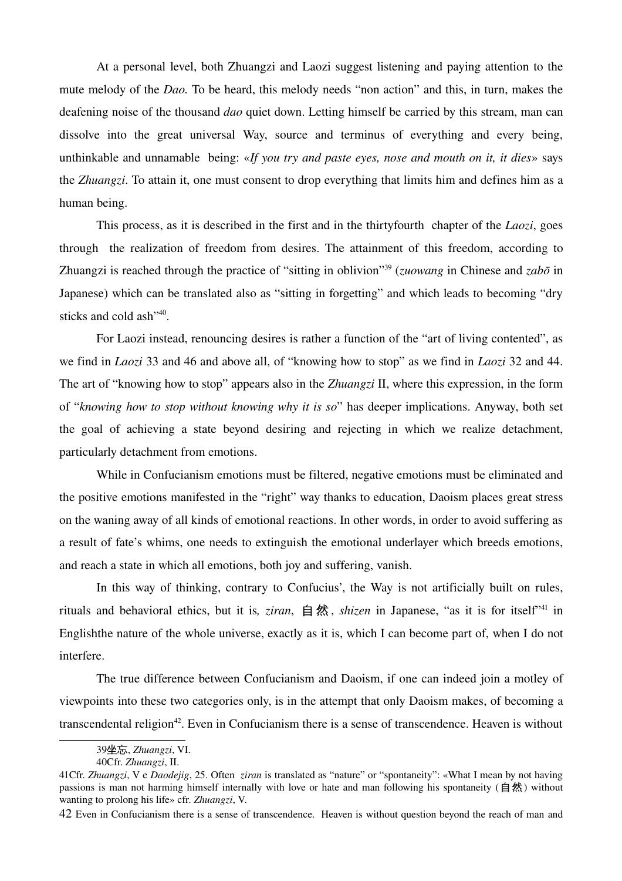At a personal level, both Zhuangzi and Laozi suggest listening and paying attention to the mute melody of the *Dao.* To be heard, this melody needs "non action" and this, in turn, makes the deafening noise of the thousand *dao* quiet down. Letting himself be carried by this stream, man can dissolve into the great universal Way, source and terminus of everything and every being, unthinkable and unnamable being: «*If you try and paste eyes, nose and mouth on it, it dies*» says the *Zhuangzi*. To attain it, one must consent to drop everything that limits him and defines him as a human being.

This process, as it is described in the first and in the thirtyfourth chapter of the *Laozi*, goes through the realization of freedom from desires. The attainment of this freedom, according to Zhuangzi is reached through the practice of "sitting in oblivion"[39](#page-25-0) (*zuowang* in Chinese and *zabō* in Japanese) which can be translated also as "sitting in forgetting" and which leads to becoming "dry sticks and cold ash"<sup>[40](#page-25-1)</sup>.

For Laozi instead, renouncing desires is rather a function of the "art of living contented", as we find in *Laozi* 33 and 46 and above all, of "knowing how to stop" as we find in *Laozi* 32 and 44. The art of "knowing how to stop" appears also in the *Zhuangzi* II, where this expression, in the form of "*knowing how to stop without knowing why it is so*" has deeper implications. Anyway, both set the goal of achieving a state beyond desiring and rejecting in which we realize detachment, particularly detachment from emotions.

While in Confucianism emotions must be filtered, negative emotions must be eliminated and the positive emotions manifested in the "right" way thanks to education, Daoism places great stress on the waning away of all kinds of emotional reactions. In other words, in order to avoid suffering as a result of fate's whims, one needs to extinguish the emotional underlayer which breeds emotions, and reach a state in which all emotions, both joy and suffering, vanish.

In this way of thinking, contrary to Confucius', the Way is not artificially built on rules, rituals and behavioral ethics, but it is*, ziran*, 自 然 , *shizen* in Japanese, "as it is for itself"[41](#page-25-2) in Englishthe nature of the whole universe, exactly as it is, which I can become part of, when I do not interfere.

The true difference between Confucianism and Daoism, if one can indeed join a motley of viewpoints into these two categories only, is in the attempt that only Daoism makes, of becoming a transcendental religion<sup>[42](#page-25-3)</sup>. Even in Confucianism there is a sense of transcendence. Heaven is without

<span id="page-25-0"></span><sup>39</sup>坐忘, *Zhuangzi*, VI.

<span id="page-25-1"></span><sup>40</sup>Cfr. *Zhuangzi*, II.

<span id="page-25-2"></span><sup>41</sup>Cfr. *Zhuangzi*, V e *Daodejig*, 25. Often *ziran* is translated as "nature" or "spontaneity": «What I mean by not having passions is man not harming himself internally with love or hate and man following his spontaneity (自然) without wanting to prolong his life» cfr. *Zhuangzi*, V.

<span id="page-25-3"></span><sup>42</sup> Even in Confucianism there is a sense of transcendence. Heaven is without question beyond the reach of man and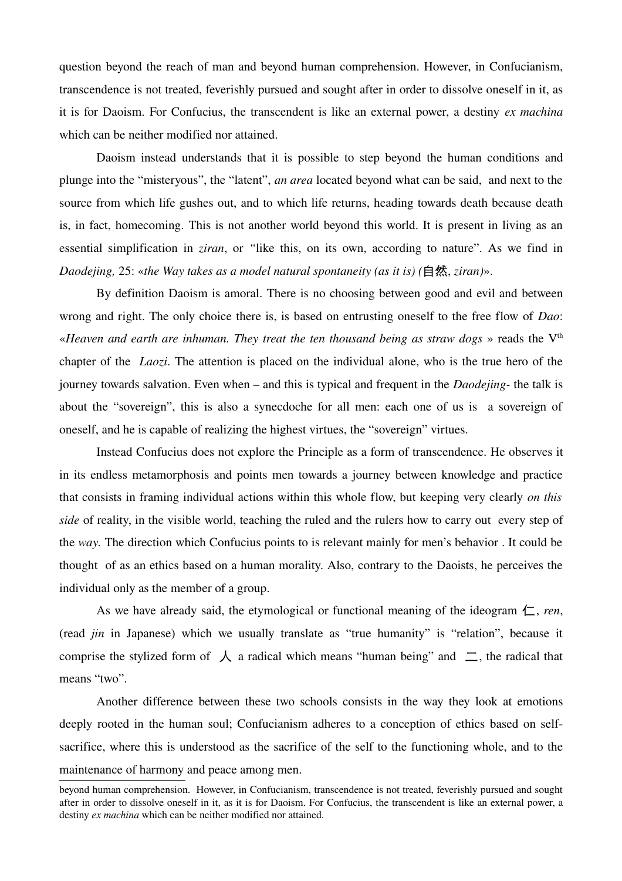question beyond the reach of man and beyond human comprehension. However, in Confucianism, transcendence is not treated, feverishly pursued and sought after in order to dissolve oneself in it, as it is for Daoism. For Confucius, the transcendent is like an external power, a destiny *ex machina* which can be neither modified nor attained.

Daoism instead understands that it is possible to step beyond the human conditions and plunge into the "misteryous", the "latent", *an area* located beyond what can be said, and next to the source from which life gushes out, and to which life returns, heading towards death because death is, in fact, homecoming. This is not another world beyond this world. It is present in living as an essential simplification in *ziran*, or *"*like this, on its own, according to nature". As we find in *Daodejing,* 25: «*the Way takes as a model natural spontaneity (as it is) (*自然, *ziran)*».

By definition Daoism is amoral. There is no choosing between good and evil and between wrong and right. The only choice there is, is based on entrusting oneself to the free flow of *Dao*: «*Heaven and earth are inhuman. They treat the ten thousand being as straw dogs* » reads the V<sup>th</sup> chapter of the *Laozi*. The attention is placed on the individual alone, who is the true hero of the journey towards salvation. Even when – and this is typical and frequent in the *Daodejing* the talk is about the "sovereign", this is also a synecdoche for all men: each one of us is a sovereign of oneself, and he is capable of realizing the highest virtues, the "sovereign" virtues.

Instead Confucius does not explore the Principle as a form of transcendence. He observes it in its endless metamorphosis and points men towards a journey between knowledge and practice that consists in framing individual actions within this whole flow, but keeping very clearly *on this side* of reality, in the visible world, teaching the ruled and the rulers how to carry out every step of the *way.* The direction which Confucius points to is relevant mainly for men's behavior . It could be thought of as an ethics based on a human morality. Also, contrary to the Daoists, he perceives the individual only as the member of a group.

As we have already said, the etymological or functional meaning of the ideogram  $\leftarrow$ , *ren*, (read *jin* in Japanese) which we usually translate as "true humanity" is "relation", because it comprise the stylized form of  $\lambda$  a radical which means "human being" and  $\Xi$ , the radical that means "two".

Another difference between these two schools consists in the way they look at emotions deeply rooted in the human soul; Confucianism adheres to a conception of ethics based on selfsacrifice, where this is understood as the sacrifice of the self to the functioning whole, and to the maintenance of harmony and peace among men.

beyond human comprehension. However, in Confucianism, transcendence is not treated, feverishly pursued and sought after in order to dissolve oneself in it, as it is for Daoism. For Confucius, the transcendent is like an external power, a destiny *ex machina* which can be neither modified nor attained.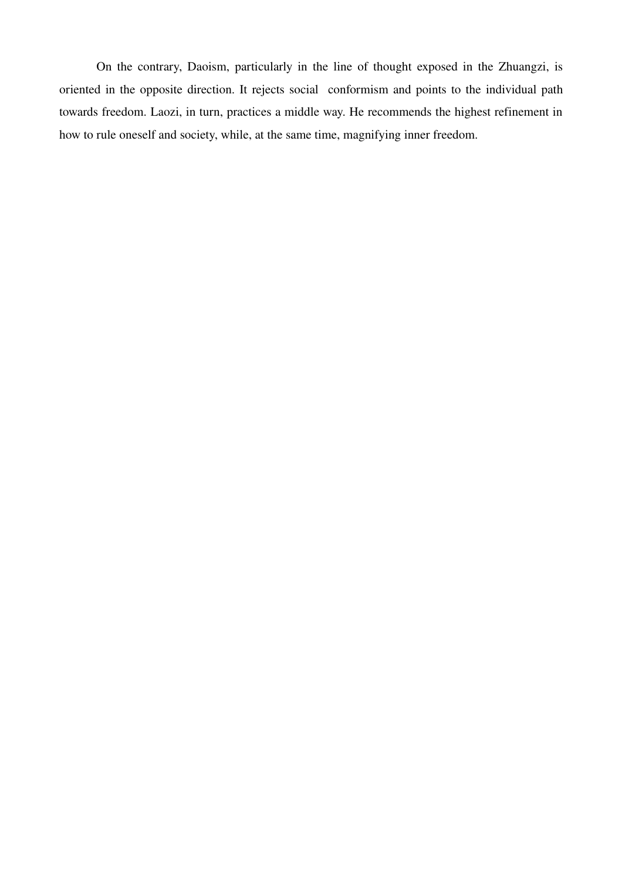On the contrary, Daoism, particularly in the line of thought exposed in the Zhuangzi, is oriented in the opposite direction. It rejects social conformism and points to the individual path towards freedom. Laozi, in turn, practices a middle way. He recommends the highest refinement in how to rule oneself and society, while, at the same time, magnifying inner freedom.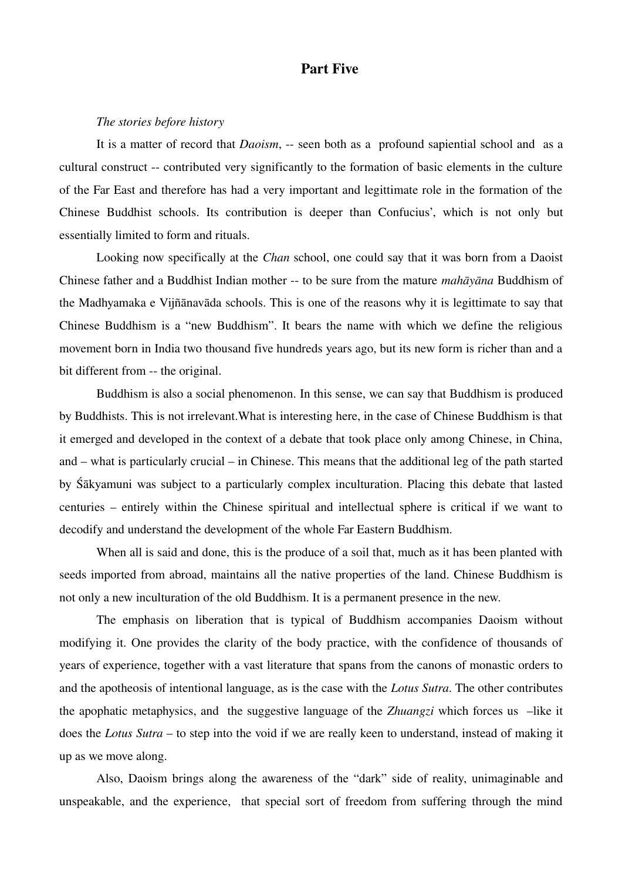## Part Five

#### *The stories before history*

It is a matter of record that *Daoism*, -- seen both as a profound sapiential school and as a cultural construct -- contributed very significantly to the formation of basic elements in the culture of the Far East and therefore has had a very important and legittimate role in the formation of the Chinese Buddhist schools. Its contribution is deeper than Confucius', which is not only but essentially limited to form and rituals.

Looking now specifically at the *Chan* school, one could say that it was born from a Daoist Chinese father and a Buddhist Indian mother -- to be sure from the mature *mahāyāna* Buddhism of the Madhyamaka e Vijñānavāda schools. This is one of the reasons why it is legittimate to say that Chinese Buddhism is a "new Buddhism". It bears the name with which we define the religious movement born in India two thousand five hundreds years ago, but its new form is richer than and a bit different from -- the original.

Buddhism is also a social phenomenon. In this sense, we can say that Buddhism is produced by Buddhists. This is not irrelevant.What is interesting here, in the case of Chinese Buddhism is that it emerged and developed in the context of a debate that took place only among Chinese, in China, and – what is particularly crucial – in Chinese. This means that the additional leg of the path started by Śākyamuni was subject to a particularly complex inculturation. Placing this debate that lasted centuries – entirely within the Chinese spiritual and intellectual sphere is critical if we want to decodify and understand the development of the whole Far Eastern Buddhism.

When all is said and done, this is the produce of a soil that, much as it has been planted with seeds imported from abroad, maintains all the native properties of the land. Chinese Buddhism is not only a new inculturation of the old Buddhism. It is a permanent presence in the new.

The emphasis on liberation that is typical of Buddhism accompanies Daoism without modifying it. One provides the clarity of the body practice, with the confidence of thousands of years of experience, together with a vast literature that spans from the canons of monastic orders to and the apotheosis of intentional language, as is the case with the *Lotus Sutra*. The other contributes the apophatic metaphysics, and the suggestive language of the *Zhuangzi* which forces us –like it does the *Lotus Sutra* – to step into the void if we are really keen to understand, instead of making it up as we move along.

Also, Daoism brings along the awareness of the "dark" side of reality, unimaginable and unspeakable, and the experience, that special sort of freedom from suffering through the mind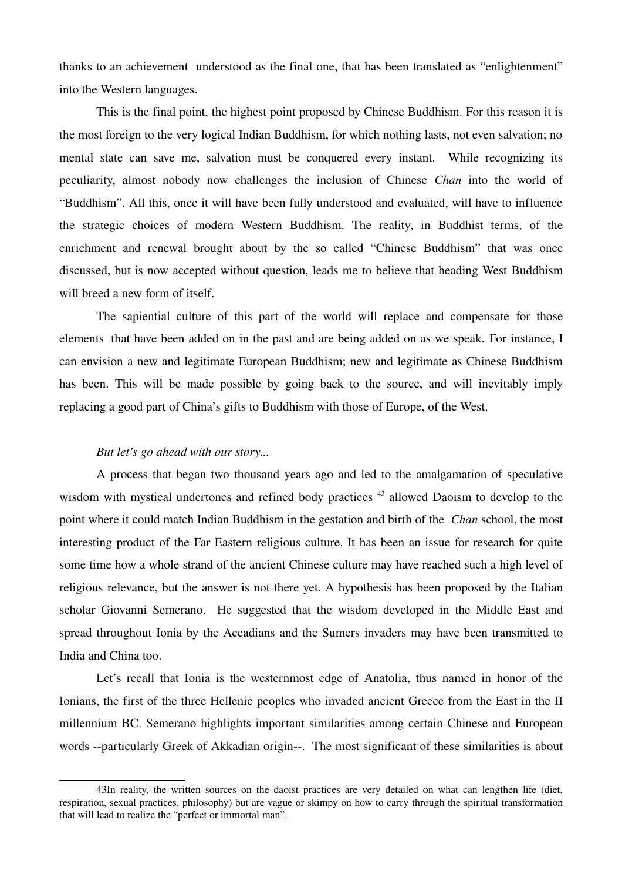thanks to an achievement understood as the final one, that has been translated as "enlightenment" into the Western languages.

This is the final point, the highest point proposed by Chinese Buddhism. For this reason it is the most foreign to the very logical Indian Buddhism, for which nothing lasts, not even salvation; no mental state can save me, salvation must be conquered every instant. While recognizing its peculiarity, almost nobody now challenges the inclusion of Chinese *Chan* into the world of "Buddhism". All this, once it will have been fully understood and evaluated, will have to influence the strategic choices of modern Western Buddhism. The reality, in Buddhist terms, of the enrichment and renewal brought about by the so called "Chinese Buddhism" that was once discussed, but is now accepted without question, leads me to believe that heading West Buddhism will breed a new form of itself.

The sapiential culture of this part of the world will replace and compensate for those elements that have been added on in the past and are being added on as we speak. For instance, I can envision a new and legitimate European Buddhism; new and legitimate as Chinese Buddhism has been. This will be made possible by going back to the source, and will inevitably imply replacing a good part of China's gifts to Buddhism with those of Europe, of the West.

#### *But let's go ahead with our story...*

A process that began two thousand years ago and led to the amalgamation of speculative wisdom with mystical undertones and refined body practices <sup>[43](#page-29-0)</sup> allowed Daoism to develop to the point where it could match Indian Buddhism in the gestation and birth of the *Chan* school, the most interesting product of the Far Eastern religious culture. It has been an issue for research for quite some time how a whole strand of the ancient Chinese culture may have reached such a high level of religious relevance, but the answer is not there yet. A hypothesis has been proposed by the Italian scholar Giovanni Semerano. He suggested that the wisdom developed in the Middle East and spread throughout Ionia by the Accadians and the Sumers invaders may have been transmitted to India and China too.

Let's recall that Ionia is the westernmost edge of Anatolia, thus named in honor of the Ionians, the first of the three Hellenic peoples who invaded ancient Greece from the East in the II millennium BC. Semerano highlights important similarities among certain Chinese and European words --particularly Greek of Akkadian origin--. The most significant of these similarities is about

<span id="page-29-0"></span><sup>43</sup>In reality, the written sources on the daoist practices are very detailed on what can lengthen life (diet, respiration, sexual practices, philosophy) but are vague or skimpy on how to carry through the spiritual transformation that will lead to realize the "perfect or immortal man".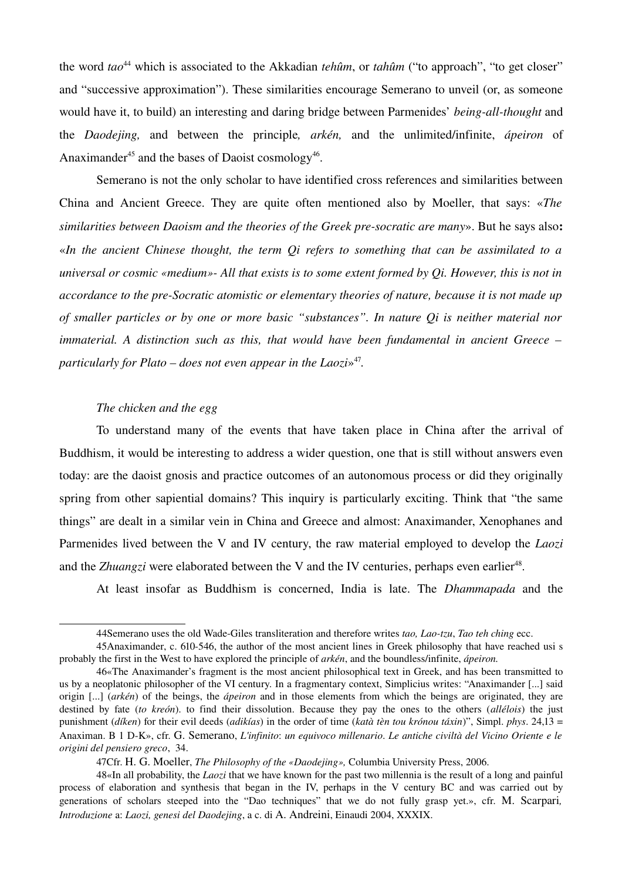the word *tao*[44](#page-30-0) which is associated to the Akkadian *tehûm*, or *tahûm* ("to approach", "to get closer" and "successive approximation"). These similarities encourage Semerano to unveil (or, as someone would have it, to build) an interesting and daring bridge between Parmenides' *being-all-thought* and the *Daodejing,* and between the principle*, arkén,* and the unlimited/infinite, *ápeiron* of Anaximander<sup>[45](#page-30-1)</sup> and the bases of Daoist cosmology<sup>[46](#page-30-2)</sup>.

Semerano is not the only scholar to have identified cross references and similarities between China and Ancient Greece. They are quite often mentioned also by Moeller, that says: «*The similarities between Daoism and the theories of the Greek pre-socratic are many».* But he says also: «*In the ancient Chinese thought, the term Qi refers to something that can be assimilated to a universal or cosmic «medium» All that exists is to some extent formed by Qi. However, this is not in accordance to the pre-Socratic atomistic or elementary theories of nature, because it is not made up of smaller particles or by one or more basic "substances". In nature Qi is neither material nor immaterial. A distinction such as this, that would have been fundamental in ancient Greece – particularly for Plato – does not even appear in the Laozi*» [47](#page-30-3) *.*

### *The chicken and the egg*

To understand many of the events that have taken place in China after the arrival of Buddhism, it would be interesting to address a wider question, one that is still without answers even today: are the daoist gnosis and practice outcomes of an autonomous process or did they originally spring from other sapiential domains? This inquiry is particularly exciting. Think that "the same things" are dealt in a similar vein in China and Greece and almost: Anaximander, Xenophanes and Parmenides lived between the V and IV century, the raw material employed to develop the *Laozi* and the *Zhuangzi* were elaborated between the V and the IV centuries, perhaps even earlier<sup>[48](#page-30-4)</sup>.

At least insofar as Buddhism is concerned, India is late. The *Dhammapada* and the

<span id="page-30-4"></span><span id="page-30-3"></span>47Cfr. H. G. Moeller, *The Philosophy of the «Daodejing»,* Columbia University Press, 2006.

<span id="page-30-2"></span><span id="page-30-1"></span><span id="page-30-0"></span><sup>44</sup>Semerano uses the old WadeGiles transliteration and therefore writes *tao, Laotzu*, *Tao teh ching* ecc.

<sup>45</sup>Anaximander, c. 610546, the author of the most ancient lines in Greek philosophy that have reached usi s probably the first in the West to have explored the principle of *arkén*, and the boundless/infinite, *ápeiron.*

<sup>46«</sup>The Anaximander's fragment is the most ancient philosophical text in Greek, and has been transmitted to us by a neoplatonic philosopher of the VI century. In a fragmentary context, Simplicius writes: "Anaximander [...] said origin [...] (*arkén*) of the beings, the *ápeiron* and in those elements from which the beings are originated, they are destined by fate (*to kreón*). to find their dissolution. Because they pay the ones to the others (*allélois*) the just punishment (*díken*) for their evil deeds (*adikías*) in the order of time (*katà tèn tou krónou táxin*)", Simpl. *phys*. 24,13 = Anaximan. B 1 DK», cfr. G. Semerano, *L'infinito*: *un equivoco millenario*. *Le antiche civiltà del Vicino Oriente e le origini del pensiero greco*, 34.

<sup>48«</sup>In all probability, the *Laozi* that we have known for the past two millennia is the result of a long and painful process of elaboration and synthesis that began in the IV, perhaps in the V century BC and was carried out by generations of scholars steeped into the "Dao techniques" that we do not fully grasp yet.», cfr. M. Scarpari, *Introduzione* a: *Laozi, genesi del Daodejing*, a c. di A. Andreini, Einaudi 2004, XXXIX.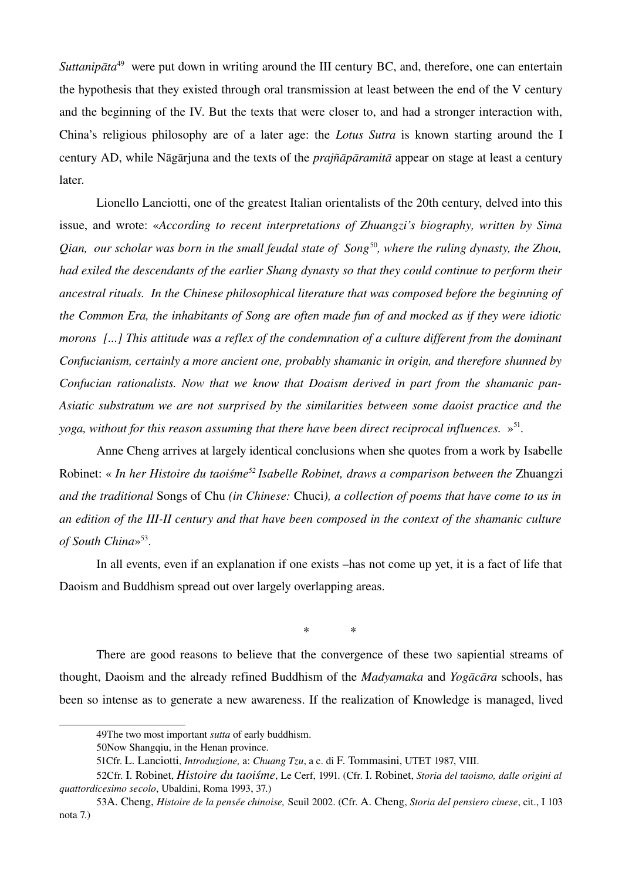Suttanipāta<sup>[49](#page-31-0)</sup> were put down in writing around the III century BC, and, therefore, one can entertain the hypothesis that they existed through oral transmission at least between the end of the V century and the beginning of the IV. But the texts that were closer to, and had a stronger interaction with, China's religious philosophy are of a later age: the *Lotus Sutra* is known starting around the I century AD, while Nāgārjuna and the texts of the *prajñāpāramitā* appear on stage at least a century later.

Lionello Lanciotti, one of the greatest Italian orientalists of the 20th century, delved into this issue, and wrote: «*According to recent interpretations of Zhuangzi's biography, written by Sima Qian, our scholar was born in the small feudal state of Song*<sup>[50](#page-31-1)</sup>, where the ruling dynasty, the Zhou, *had exiled the descendants of the earlier Shang dynasty so that they could continue to perform their ancestral rituals. In the Chinese philosophical literature that was composed before the beginning of the Common Era, the inhabitants of Song are often made fun of and mocked as if they were idiotic morons [...] This attitude was a reflex of the condemnation of a culture different from the dominant Confucianism, certainly a more ancient one, probably shamanic in origin, and therefore shunned by Confucian rationalists. Now that we know that Doaism derived in part from the shamanic pan-Asiatic substratum we are not surprised by the similarities between some daoist practice and the* yoga, without for this reason assuming that there have been direct reciprocal influences.  $\gg^{51}$  $\gg^{51}$  $\gg^{51}$ .

Anne Cheng arrives at largely identical conclusions when she quotes from a work by Isabelle Robinet: « *In her Histoire du taoiśme[52](#page-31-3) Isabelle Robinet, draws a comparison between the* Zhuangzi *and the traditional* Songs of Chu *(in Chinese:* Chuci*), a collection of poems that have come to us in an edition of the IIIII century and that have been composed in the context of the shamanic culture of South China*» [53](#page-31-4) .

In all events, even if an explanation if one exists –has not come up yet, it is a fact of life that Daoism and Buddhism spread out over largely overlapping areas.

*\* \**

There are good reasons to believe that the convergence of these two sapiential streams of thought, Daoism and the already refined Buddhism of the *Madyamaka* and *Yogācāra* schools, has been so intense as to generate a new awareness. If the realization of Knowledge is managed, lived

<span id="page-31-0"></span><sup>49</sup>The two most important *sutta* of early buddhism.

<span id="page-31-1"></span><sup>50</sup>Now Shangqiu, in the Henan province.

<span id="page-31-4"></span><span id="page-31-3"></span><span id="page-31-2"></span><sup>51</sup>Cfr. L. Lanciotti, *Introduzione,* a: *Chuang Tzu*, a c. di F. Tommasini, UTET 1987, VIII.

<sup>52</sup>Cfr. I. Robinet, *Histoire du taoiśme*, Le Cerf, 1991. (Cfr. I. Robinet, *Storia del taoismo, dalle origini al quattordicesimo secolo*, Ubaldini, Roma 1993, 37.)

<sup>53</sup>A. Cheng, *Histoire de la pensée chinoise,* Seuil 2002. (Cfr. A. Cheng, *Storia del pensiero cinese*, cit., I 103 nota 7.)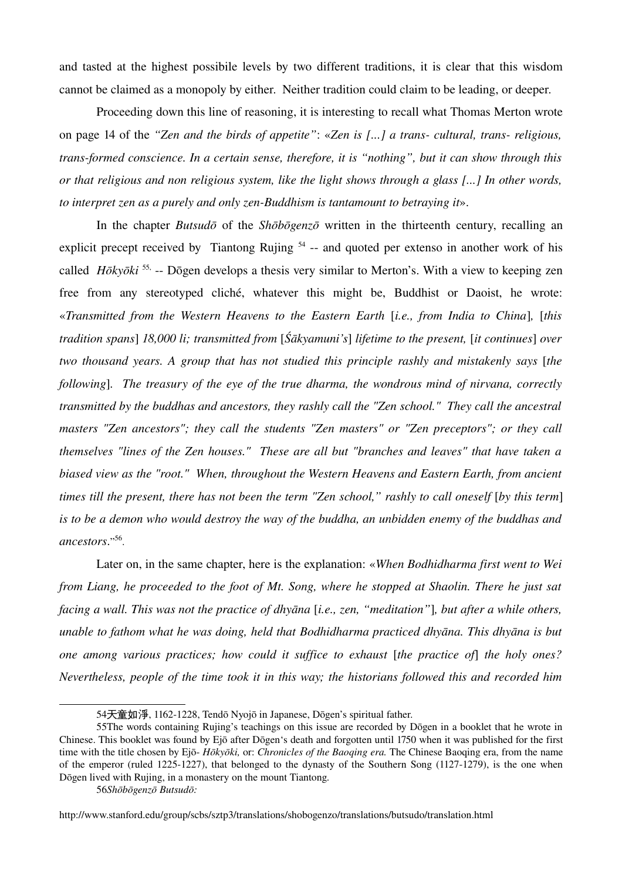and tasted at the highest possibile levels by two different traditions, it is clear that this wisdom cannot be claimed as a monopoly by either. Neither tradition could claim to be leading, or deeper.

Proceeding down this line of reasoning, it is interesting to recall what Thomas Merton wrote on page 14 of the *"Zen and the birds of appetite"*: «*Zen is [...] a trans cultural, trans religious, transformed conscience. In a certain sense, therefore, it is "nothing", but it can show through this or that religious and non religious system, like the light shows through a glass [...] In other words, to interpret zen as a purely and only zenBuddhism is tantamount to betraying it*».

In the chapter *Butsudō* of the *Shōbōgenzō* written in the thirteenth century, recalling an explicit precept received by Tiantong Rujing  $54$  -- and quoted per extenso in another work of his called *Hōkyōki*<sup>[55,](#page-32-1)</sup> -- Dōgen develops a thesis very similar to Merton's. With a view to keeping zen free from any stereotyped cliché, whatever this might be, Buddhist or Daoist, he wrote: «*Transmitted from the Western Heavens to the Eastern Earth* [*i.e., from India to China*]*,* [*this tradition spans*] *18,000 li; transmitted from* [*Śākyamuni's*] *lifetime to the present,* [*it continues*] *over two thousand years. A group that has not studied this principle rashly and mistakenly says* [*the following*]*. The treasury of the eye of the true dharma, the wondrous mind of nirvana, correctly transmitted by the buddhas and ancestors, they rashly call the "Zen school." They call the ancestral masters "Zen ancestors"; they call the students "Zen masters" or "Zen preceptors"; or they call themselves "lines of the Zen houses." These are all but "branches and leaves" that have taken a biased view as the "root." When, throughout the Western Heavens and Eastern Earth, from ancient times till the present, there has not been the term "Zen school," rashly to call oneself [by this term] is to be a demon who would destroy the way of the buddha, an unbidden enemy of the buddhas and ancestors*." [56](#page-32-2) .

Later on, in the same chapter, here is the explanation: «*When Bodhidharma first went to Wei from Liang, he proceeded to the foot of Mt. Song, where he stopped at Shaolin. There he just sat facing a wall. This was not the practice of dhyāna* [*i.e., zen, "meditation"*]*, but after a while others, unable to fathom what he was doing, held that Bodhidharma practiced dhyāna. This dhyāna is but one among various practices; how could it suffice to exhaust [the practice of] the holy ones? Nevertheless, people of the time took it in this way; the historians followed this and recorded him*

http://www.stanford.edu/group/scbs/sztp3/translations/shobogenzo/translations/butsudo/translation.html

<span id="page-32-1"></span><span id="page-32-0"></span><sup>54</sup>天童如淨, 1162-1228, Tendō Nyojō in Japanese, Dōgen's spiritual father.

<sup>55</sup>The words containing Rujing's teachings on this issue are recorded by Dōgen in a booklet that he wrote in Chinese. This booklet was found by Ejō after Dōgen's death and forgotten until 1750 when it was published for the first time with the title chosen by Ejō- *Hōkyōki*, or: *Chronicles of the Baoging era*. The Chinese Baoging era, from the name of the emperor (ruled 1225-1227), that belonged to the dynasty of the Southern Song (1127-1279), is the one when Dōgen lived with Rujing, in a monastery on the mount Tiantong*.*

<span id="page-32-2"></span><sup>56</sup>*Shōbōgenzō Butsudō:*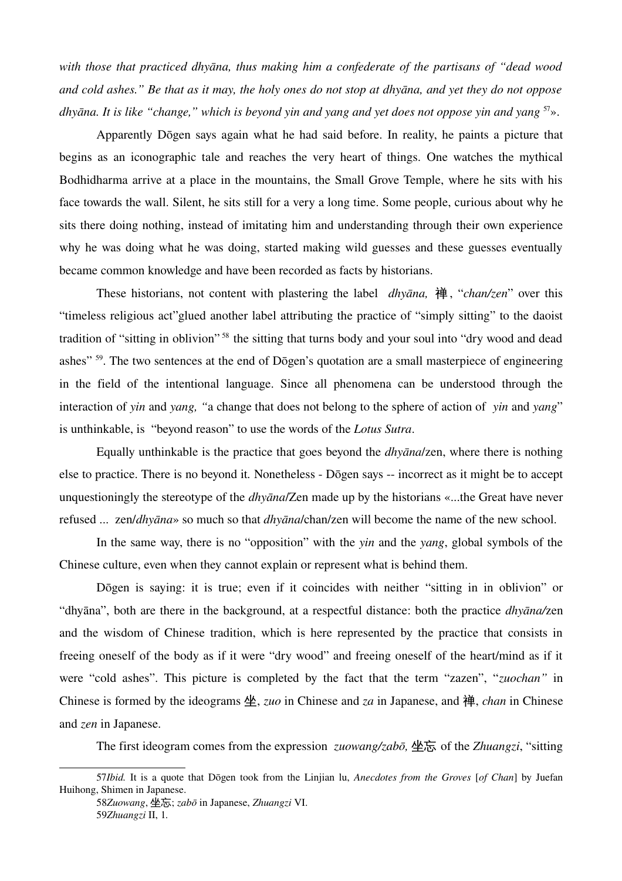*with those that practiced dhyāna, thus making him a confederate of the partisans of "dead wood and cold ashes." Be that as it may, the holy ones do not stop at dhyāna, and yet they do not oppose dhyāna. It is like "change," which is beyond yin and yang and yet does not oppose yin and yang* [57](#page-33-0)».

Apparently Dōgen says again what he had said before. In reality, he paints a picture that begins as an iconographic tale and reaches the very heart of things. One watches the mythical Bodhidharma arrive at a place in the mountains, the Small Grove Temple, where he sits with his face towards the wall. Silent, he sits still for a very a long time. Some people, curious about why he sits there doing nothing, instead of imitating him and understanding through their own experience why he was doing what he was doing, started making wild guesses and these guesses eventually became common knowledge and have been recorded as facts by historians.

These historians, not content with plastering the label *dhyāna,* 禅, "*chan/zen*" over this "timeless religious act"glued another label attributing the practice of "simply sitting" to the daoist tradition of "sitting in oblivion"<sup>58</sup> the sitting that turns body and your soul into "dry wood and dead ashes" <sup>[59](#page-33-2)</sup>. The two sentences at the end of Dōgen's quotation are a small masterpiece of engineering in the field of the intentional language. Since all phenomena can be understood through the interaction of *yin* and *yang, "*a change that does not belong to the sphere of action of *yin* and *yang*" is unthinkable, is "beyond reason" to use the words of the *Lotus Sutra*.

Equally unthinkable is the practice that goes beyond the *dhyāna*/zen, where there is nothing else to practice. There is no beyond it. Nonetheless - Dōgen says -- incorrect as it might be to accept unquestioningly the stereotype of the *dhyāna*/Zen made up by the historians «...the Great have never refused ... zen/*dhyāna*» so much so that *dhyāna*/chan/zen will become the name of the new school.

In the same way, there is no "opposition" with the *yin* and the *yang*, global symbols of the Chinese culture, even when they cannot explain or represent what is behind them.

Dōgen is saying: it is true; even if it coincides with neither "sitting in in oblivion" or "dhyāna", both are there in the background, at a respectful distance: both the practice *dhyāna/*zen and the wisdom of Chinese tradition, which is here represented by the practice that consists in freeing oneself of the body as if it were "dry wood" and freeing oneself of the heart/mind as if it were "cold ashes". This picture is completed by the fact that the term "zazen", "*zuochan"* in Chinese is formed by the ideograms 坐, *zuo* in Chinese and *za* in Japanese, and 禅, *chan* in Chinese and *zen* in Japanese.

The first ideogram comes from the expression *zuowang/zabō,* 坐忘 of the *Zhuangzi*, "sitting

<sup>57</sup>*Ibid.* It is a quote that Dōgen took from the Linjian lu, *Anecdotes from the Groves* [*of Chan*] by Juefan Huihong, Shimen in Japanese.

<span id="page-33-2"></span><span id="page-33-1"></span><span id="page-33-0"></span><sup>58</sup>*Zuowang*, 坐忘; *zabō* in Japanese, *Zhuangzi* VI. 59*Zhuangzi* II, 1.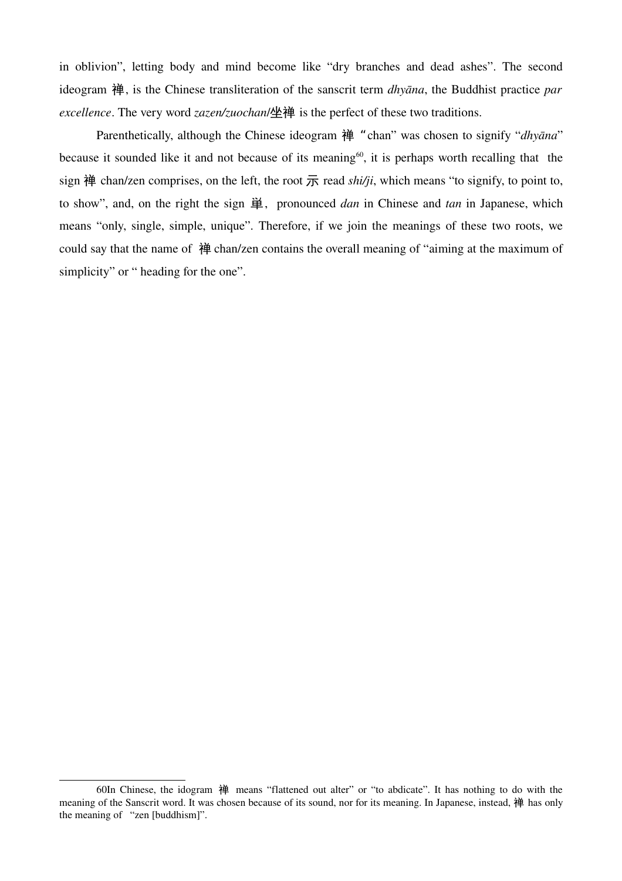in oblivion", letting body and mind become like "dry branches and dead ashes". The second ideogram 禅, is the Chinese transliteration of the sanscrit term *dhyāna*, the Buddhist practice *par excellence*. The very word *zazen/zuochan*/坐禅 is the perfect of these two traditions.

Parenthetically, although the Chinese ideogram 禅 "chan" was chosen to signify "*dhyāna*" because it sounded like it and not because of its meaning<sup>[60](#page-34-0)</sup>, it is perhaps worth recalling that the sign 禅 chan/zen comprises, on the left, the root  $\overline{R}$  read *shi/ji*, which means "to signify, to point to, to show", and, on the right the sign 単, pronounced *dan* in Chinese and *tan* in Japanese, which means "only, single, simple, unique". Therefore, if we join the meanings of these two roots, we could say that the name of 禅 chan/zen contains the overall meaning of "aiming at the maximum of simplicity" or " heading for the one".

<span id="page-34-0"></span><sup>60</sup>In Chinese, the idogram 禅 means "flattened out alter" or "to abdicate". It has nothing to do with the meaning of the Sanscrit word. It was chosen because of its sound, nor for its meaning. In Japanese, instead, 禅 has only the meaning of "zen [buddhism]".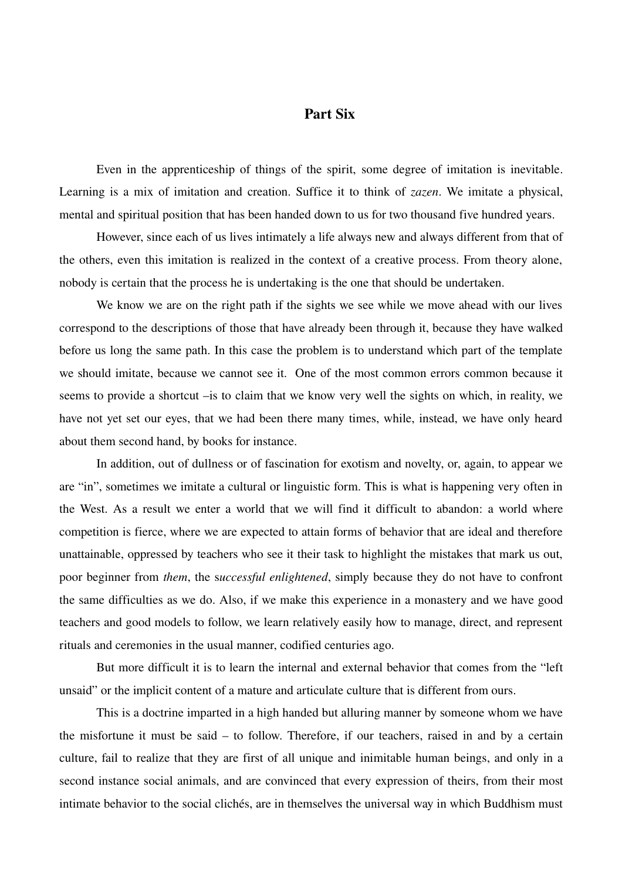# Part Six

Even in the apprenticeship of things of the spirit, some degree of imitation is inevitable. Learning is a mix of imitation and creation. Suffice it to think of *zazen*. We imitate a physical, mental and spiritual position that has been handed down to us for two thousand five hundred years.

However, since each of us lives intimately a life always new and always different from that of the others, even this imitation is realized in the context of a creative process. From theory alone, nobody is certain that the process he is undertaking is the one that should be undertaken.

We know we are on the right path if the sights we see while we move ahead with our lives correspond to the descriptions of those that have already been through it, because they have walked before us long the same path. In this case the problem is to understand which part of the template we should imitate, because we cannot see it. One of the most common errors common because it seems to provide a shortcut –is to claim that we know very well the sights on which, in reality, we have not yet set our eyes, that we had been there many times, while, instead, we have only heard about them second hand, by books for instance.

In addition, out of dullness or of fascination for exotism and novelty, or, again, to appear we are "in", sometimes we imitate a cultural or linguistic form. This is what is happening very often in the West. As a result we enter a world that we will find it difficult to abandon: a world where competition is fierce, where we are expected to attain forms of behavior that are ideal and therefore unattainable, oppressed by teachers who see it their task to highlight the mistakes that mark us out, poor beginner from *them*, the s*uccessful enlightened*, simply because they do not have to confront the same difficulties as we do. Also, if we make this experience in a monastery and we have good teachers and good models to follow, we learn relatively easily how to manage, direct, and represent rituals and ceremonies in the usual manner, codified centuries ago.

But more difficult it is to learn the internal and external behavior that comes from the "left unsaid" or the implicit content of a mature and articulate culture that is different from ours.

This is a doctrine imparted in a high handed but alluring manner by someone whom we have the misfortune it must be said – to follow. Therefore, if our teachers, raised in and by a certain culture, fail to realize that they are first of all unique and inimitable human beings, and only in a second instance social animals, and are convinced that every expression of theirs, from their most intimate behavior to the social clichés, are in themselves the universal way in which Buddhism must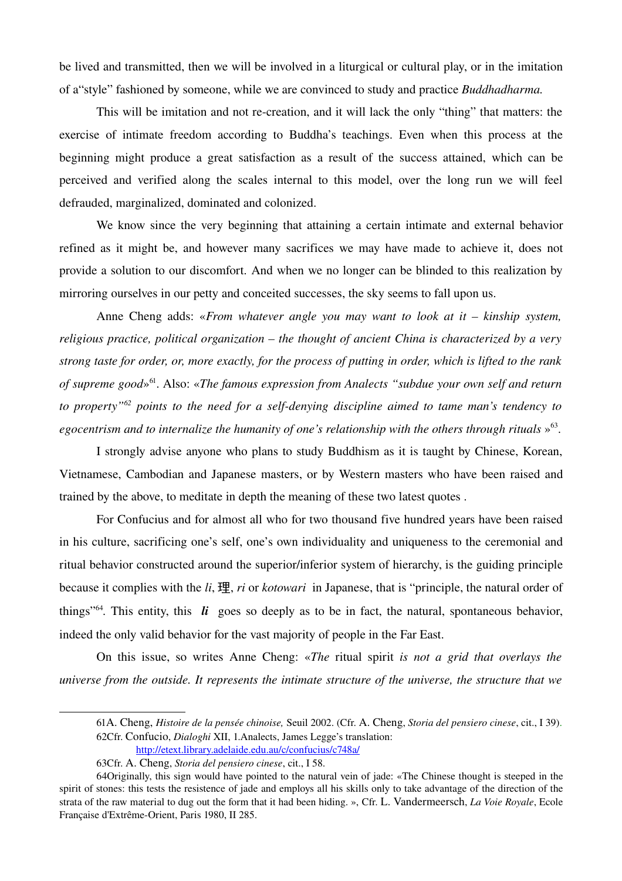be lived and transmitted, then we will be involved in a liturgical or cultural play, or in the imitation of a"style" fashioned by someone, while we are convinced to study and practice *Buddhadharma.*

This will be imitation and not re-creation, and it will lack the only "thing" that matters: the exercise of intimate freedom according to Buddha's teachings. Even when this process at the beginning might produce a great satisfaction as a result of the success attained, which can be perceived and verified along the scales internal to this model, over the long run we will feel defrauded, marginalized, dominated and colonized.

We know since the very beginning that attaining a certain intimate and external behavior refined as it might be, and however many sacrifices we may have made to achieve it, does not provide a solution to our discomfort. And when we no longer can be blinded to this realization by mirroring ourselves in our petty and conceited successes, the sky seems to fall upon us.

Anne Cheng adds: «*From whatever angle you may want to look at it – kinship system, religious practice, political organization – the thought of ancient China is characterized by a very strong taste for order, or, more exactly, for the process of putting in order, which is lifted to the rank of supreme good*» [61](#page-36-0). Also: «*The famous expression from Analects "subdue your own self and return to property*<sup>"[62](#page-36-1)</sup> *points to the need for a self-denying discipline aimed to tame man's tendency to* egocentrism and to internalize the humanity of one's relationship with the others through rituals »<sup>[63](#page-36-2)</sup>.

I strongly advise anyone who plans to study Buddhism as it is taught by Chinese, Korean, Vietnamese, Cambodian and Japanese masters, or by Western masters who have been raised and trained by the above, to meditate in depth the meaning of these two latest quotes .

For Confucius and for almost all who for two thousand five hundred years have been raised in his culture, sacrificing one's self, one's own individuality and uniqueness to the ceremonial and ritual behavior constructed around the superior/inferior system of hierarchy, is the guiding principle because it complies with the *li*, 理, *ri* or *kotowari*  in Japanese, that is "principle, the natural order of things<sup> $364$  $364$ </sup>. This entity, this  $\boldsymbol{li}$  goes so deeply as to be in fact, the natural, spontaneous behavior, indeed the only valid behavior for the vast majority of people in the Far East.

On this issue, so writes Anne Cheng: «*The ritual spirit is not a grid that overlays the universe from the outside. It represents the intimate structure of the universe, the structure that we*

<span id="page-36-0"></span><sup>61</sup>A. Cheng, *Histoire de la pensée chinoise,* Seuil 2002. (Cfr. A. Cheng, *Storia del pensiero cinese*, cit., I 39). 62Cfr. Confucio, *Dialoghi* XII, 1.Analects, James Legge's translation:

<span id="page-36-1"></span><http://etext.library.adelaide.edu.au/c/confucius/c748a/>

<span id="page-36-3"></span><span id="page-36-2"></span><sup>63</sup>Cfr. A. Cheng, *Storia del pensiero cinese*, cit., I 58.

<sup>64</sup>Originally, this sign would have pointed to the natural vein of jade: «The Chinese thought is steeped in the spirit of stones: this tests the resistence of jade and employs all his skills only to take advantage of the direction of the strata of the raw material to dug out the form that it had been hiding. », Cfr. L. Vandermeersch, *La Voie Royale*, Ecole Française d'Extrême-Orient, Paris 1980, II 285.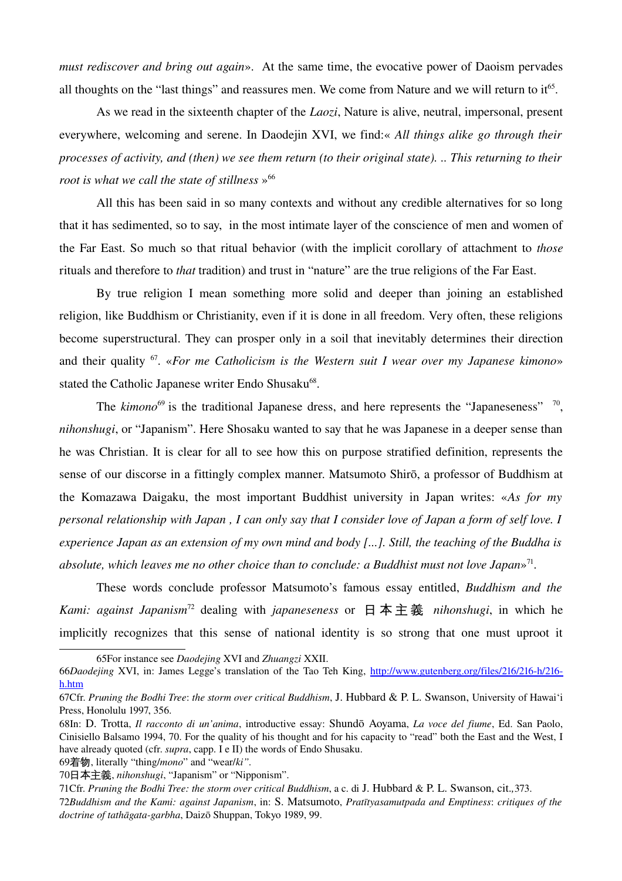*must rediscover and bring out again*». At the same time, the evocative power of Daoism pervades all thoughts on the "last things" and reassures men. We come from Nature and we will return to  $it<sup>65</sup>$  $it<sup>65</sup>$  $it<sup>65</sup>$ .

As we read in the sixteenth chapter of the *Laozi*, Nature is alive, neutral, impersonal, present everywhere, welcoming and serene. In Daodejin XVI, we find:« *All things alike go through their processes of activity, and (then) we see them return (to their original state). .. This returning to their root is what we call the state of stillness*  $\frac{1}{2}$ <sup>[66](#page-37-1)</sup>

All this has been said in so many contexts and without any credible alternatives for so long that it has sedimented, so to say, in the most intimate layer of the conscience of men and women of the Far East. So much so that ritual behavior (with the implicit corollary of attachment to *those* rituals and therefore to *that* tradition) and trust in "nature" are the true religions of the Far East.

By true religion I mean something more solid and deeper than joining an established religion, like Buddhism or Christianity, even if it is done in all freedom. Very often, these religions become superstructural. They can prosper only in a soil that inevitably determines their direction and their quality [67](#page-37-2). «*For me Catholicism is the Western suit I wear over my Japanese kimono*» stated the Catholic Japanese writer Endo Shusaku<sup>[68](#page-37-3)</sup>.

The  $\text{kimono}^{69}$  $\text{kimono}^{69}$  $\text{kimono}^{69}$  is the traditional Japanese dress, and here represents the "Japaneseness"  $\frac{70}{10}$  $\frac{70}{10}$  $\frac{70}{10}$ *nihonshugi*, or "Japanism". Here Shosaku wanted to say that he was Japanese in a deeper sense than he was Christian. It is clear for all to see how this on purpose stratified definition, represents the sense of our discorse in a fittingly complex manner. Matsumoto Shirō, a professor of Buddhism at the Komazawa Daigaku, the most important Buddhist university in Japan writes: «*As for my personal relationship with Japan , I can only say that I consider love of Japan a form of self love. I experience Japan as an extension of my own mind and body [...]. Still, the teaching of the Buddha is* absolute, which leaves me no other choice than to conclude: a Buddhist must not love Japan»<sup>[71](#page-37-6)</sup>.

These words conclude professor Matsumoto's famous essay entitled, *Buddhism and the Kami: against Japanism*[72](#page-37-7) dealing with *japaneseness* or 日 本 主 義 *nihonshugi*, in which he implicitly recognizes that this sense of national identity is so strong that one must uproot it

<span id="page-37-4"></span>69着物, literally "thing/*mono*" and "wear/*ki".*

<span id="page-37-0"></span><sup>65</sup>For instance see *Daodejing* XVI and *Zhuangzi* XXII.

<span id="page-37-1"></span><sup>66</sup>*Daodejing* XVI, in: James Legge's translation of the Tao Teh King, http://www.gutenberg.org/files/216/216-h/216[h.htm](http://www.gutenberg.org/files/216/216-h/216-h.htm)

<span id="page-37-2"></span><sup>67</sup>Cfr. *Pruning the Bodhi Tree*: *the storm over critical Buddhism*, J. Hubbard & P. L. Swanson, University of Hawai'i Press, Honolulu 1997, 356.

<span id="page-37-3"></span><sup>68</sup>In: D. Trotta, *Il racconto di un'anima*, introductive essay: Shundō Aoyama, *La voce del fiume*, Ed. San Paolo, Cinisiello Balsamo 1994, 70. For the quality of his thought and for his capacity to "read" both the East and the West, I have already quoted (cfr. *supra*, capp. I e II) the words of Endo Shusaku.

<span id="page-37-5"></span><sup>70</sup>日本主義, *nihonshugi*, "Japanism" or "Nipponism".

<span id="page-37-6"></span><sup>71</sup>Cfr. *Pruning the Bodhi Tree: the storm over critical Buddhism*, a c. di J. Hubbard & P. L. Swanson, cit.*,*373.

<span id="page-37-7"></span><sup>72</sup>*Buddhism and the Kami: against Japanism*, in: S. Matsumoto, *Pratītyasamutpada and Emptiness*: *critiques of the* doctrine of tathāgata-garbha, Daizō Shuppan, Tokyo 1989, 99.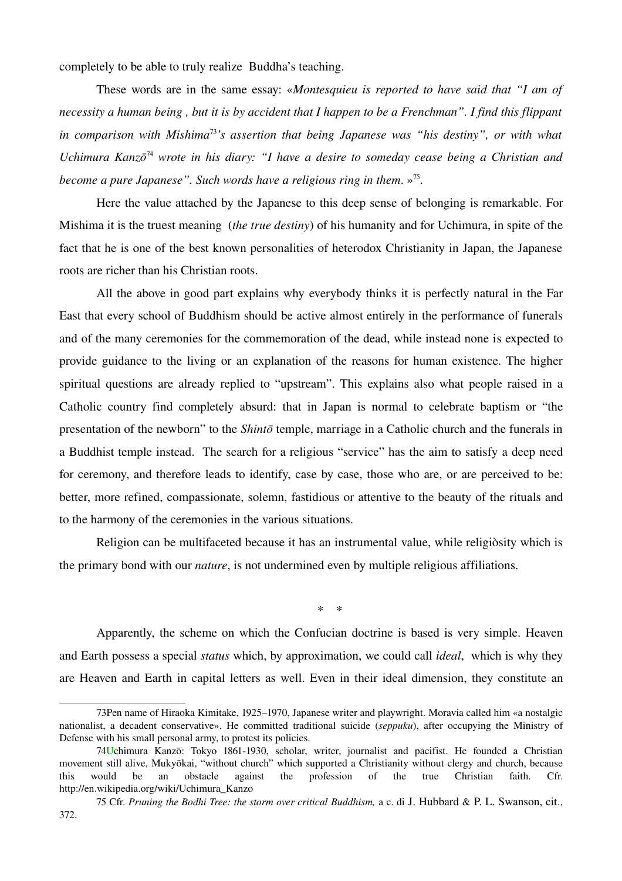completely to be able to truly realize Buddha's teaching.

These words are in the same essay: «*Montesquieu is reported to have said that "I am of necessity a human being , but it is by accident that I happen to be a Frenchman". I find this flippant in comparison with Mishima*[73](#page-38-0)*'s assertion that being Japanese was "his destiny", or with what Uchimura Kanzō* [74](#page-38-1) *wrote in his diary: "I have a desire to someday cease being a Christian and become a pure Japanese". Such words have a religious ring in them*. »[75](#page-38-2) .

Here the value attached by the Japanese to this deep sense of belonging is remarkable. For Mishima it is the truest meaning (*the true destiny*) of his humanity and for Uchimura, in spite of the fact that he is one of the best known personalities of heterodox Christianity in Japan, the Japanese roots are richer than his Christian roots.

All the above in good part explains why everybody thinks it is perfectly natural in the Far East that every school of Buddhism should be active almost entirely in the performance of funerals and of the many ceremonies for the commemoration of the dead, while instead none is expected to provide guidance to the living or an explanation of the reasons for human existence. The higher spiritual questions are already replied to "upstream". This explains also what people raised in a Catholic country find completely absurd: that in Japan is normal to celebrate baptism or "the presentation of the newborn" to the *Shintō* temple, marriage in a Catholic church and the funerals in a Buddhist temple instead. The search for a religious "service" has the aim to satisfy a deep need for ceremony, and therefore leads to identify, case by case, those who are, or are perceived to be: better, more refined, compassionate, solemn, fastidious or attentive to the beauty of the rituals and to the harmony of the ceremonies in the various situations.

Religion can be multifaceted because it has an instrumental value, while religiòsity which is the primary bond with our *nature*, is not undermined even by multiple religious affiliations.

*\* \**

Apparently, the scheme on which the Confucian doctrine is based is very simple. Heaven and Earth possess a special *status* which, by approximation, we could call *ideal*, which is why they are Heaven and Earth in capital letters as well. Even in their ideal dimension, they constitute an

<span id="page-38-0"></span><sup>73</sup>Pen name of Hiraoka Kimitake, 1925–1970, Japanese writer and playwright. Moravia called him «a nostalgic nationalist, a decadent conservative». He committed traditional suicide (*seppuku*), after occupying the Ministry of Defense with his small personal army, to protest its policies.

<span id="page-38-1"></span><sup>74</sup>Uchimura Kanzō: Tokyo 1861-1930, scholar, writer, journalist and pacifist. He founded a Christian movement still alive, Mukyōkai, "without church" which supported a Christianity without clergy and church, because this would be an obstacle against the profession of the true Christian faith. Cfr. http://en.wikipedia.org/wiki/Uchimura\_Kanzo

<span id="page-38-2"></span><sup>75</sup> Cfr. *Pruning the Bodhi Tree: the storm over critical Buddhism,* a c. di J. Hubbard & P. L. Swanson, cit., 372.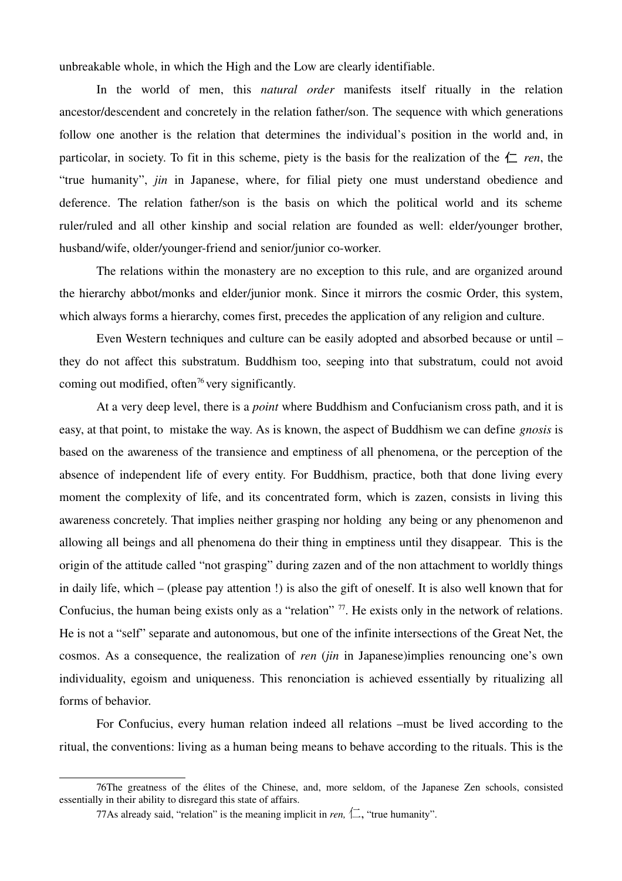unbreakable whole, in which the High and the Low are clearly identifiable.

In the world of men, this *natural order* manifests itself ritually in the relation ancestor/descendent and concretely in the relation father/son. The sequence with which generations follow one another is the relation that determines the individual's position in the world and, in particolar, in society. To fit in this scheme, piety is the basis for the realization of the  $\left\lfloor \frac{r}{n} \right\rfloor$  ren, the "true humanity", *jin* in Japanese, where, for filial piety one must understand obedience and deference. The relation father/son is the basis on which the political world and its scheme ruler/ruled and all other kinship and social relation are founded as well: elder/younger brother, husband/wife, older/younger-friend and senior/junior co-worker.

The relations within the monastery are no exception to this rule, and are organized around the hierarchy abbot/monks and elder/junior monk. Since it mirrors the cosmic Order, this system, which always forms a hierarchy, comes first, precedes the application of any religion and culture.

Even Western techniques and culture can be easily adopted and absorbed because or until – they do not affect this substratum. Buddhism too, seeping into that substratum, could not avoid coming out modified, often<sup>[76](#page-39-0)</sup> very significantly.

At a very deep level, there is a *point* where Buddhism and Confucianism cross path, and it is easy, at that point, to mistake the way. As is known, the aspect of Buddhism we can define *gnosis* is based on the awareness of the transience and emptiness of all phenomena, or the perception of the absence of independent life of every entity. For Buddhism, practice, both that done living every moment the complexity of life, and its concentrated form, which is zazen, consists in living this awareness concretely. That implies neither grasping nor holding any being or any phenomenon and allowing all beings and all phenomena do their thing in emptiness until they disappear. This is the origin of the attitude called "not grasping" during zazen and of the non attachment to worldly things in daily life, which – (please pay attention !) is also the gift of oneself. It is also well known that for Confucius, the human being exists only as a "relation" <sup>[77](#page-39-1)</sup>. He exists only in the network of relations. He is not a "self" separate and autonomous, but one of the infinite intersections of the Great Net, the cosmos. As a consequence, the realization of *ren (jin in Japanese)implies renouncing one's own* individuality, egoism and uniqueness. This renonciation is achieved essentially by ritualizing all forms of behavior.

For Confucius, every human relation indeed all relations –must be lived according to the ritual, the conventions: living as a human being means to behave according to the rituals. This is the

<sup>76</sup>The greatness of the élites of the Chinese, and, more seldom, of the Japanese Zen schools, consisted essentially in their ability to disregard this state of affairs.

<span id="page-39-1"></span><span id="page-39-0"></span><sup>77</sup>As already said, "relation" is the meaning implicit in *ren*,  $\Box$ , "true humanity".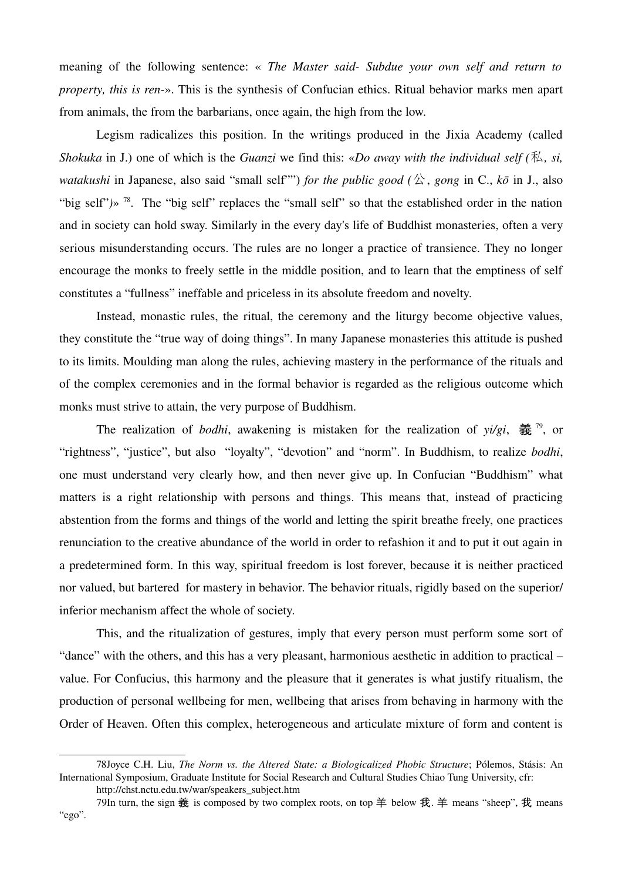meaning of the following sentence: « *The Master said- Subdue vour own self and return to property, this is ren*». This is the synthesis of Confucian ethics. Ritual behavior marks men apart from animals, the from the barbarians, once again, the high from the low.

Legism radicalizes this position. In the writings produced in the Jixia Academy (called *Shokuka* in J.) one of which is the *Guanzi* we find this: «*Do away with the individual self (*私*, si, watakushi* in Japanese, also said "small self"") *for the public good* ( $\triangle$ , *gong* in C.,  $k\bar{\sigma}$  in J., also "big self")» <sup>[78](#page-40-0)</sup>. The "big self" replaces the "small self" so that the established order in the nation and in society can hold sway. Similarly in the every day's life of Buddhist monasteries, often a very serious misunderstanding occurs. The rules are no longer a practice of transience. They no longer encourage the monks to freely settle in the middle position, and to learn that the emptiness of self constitutes a "fullness" ineffable and priceless in its absolute freedom and novelty.

Instead, monastic rules, the ritual, the ceremony and the liturgy become objective values, they constitute the "true way of doing things". In many Japanese monasteries this attitude is pushed to its limits. Moulding man along the rules, achieving mastery in the performance of the rituals and of the complex ceremonies and in the formal behavior is regarded as the religious outcome which monks must strive to attain, the very purpose of Buddhism.

The realization of *bodhi*, awakening is mistaken for the realization of  $y_i/g_i$ ,  $\frac{2}{32}$ , or "rightness", "justice", but also "loyalty", "devotion" and "norm". In Buddhism, to realize *bodhi*, one must understand very clearly how, and then never give up. In Confucian "Buddhism" what matters is a right relationship with persons and things. This means that, instead of practicing abstention from the forms and things of the world and letting the spirit breathe freely, one practices renunciation to the creative abundance of the world in order to refashion it and to put it out again in a predetermined form. In this way, spiritual freedom is lost forever, because it is neither practiced nor valued, but bartered for mastery in behavior. The behavior rituals, rigidly based on the superior/ inferior mechanism affect the whole of society.

This, and the ritualization of gestures, imply that every person must perform some sort of "dance" with the others, and this has a very pleasant, harmonious aesthetic in addition to practical – value. For Confucius, this harmony and the pleasure that it generates is what justify ritualism, the production of personal wellbeing for men, wellbeing that arises from behaving in harmony with the Order of Heaven. Often this complex, heterogeneous and articulate mixture of form and content is

<sup>78</sup>Joyce C.H. Liu, *The Norm vs. the Altered State: a Biologicalized Phobic Structure*; Pólemos, Stásis: An International Symposium, Graduate Institute for Social Research and Cultural Studies Chiao Tung University, cfr:

<span id="page-40-1"></span><span id="page-40-0"></span>http://chst.nctu.edu.tw/war/speakers\_subject.htm

<sup>79</sup>In turn, the sign 義 is composed by two complex roots, on top 羊 below 我. 羊 means "sheep", 我 means "ego".